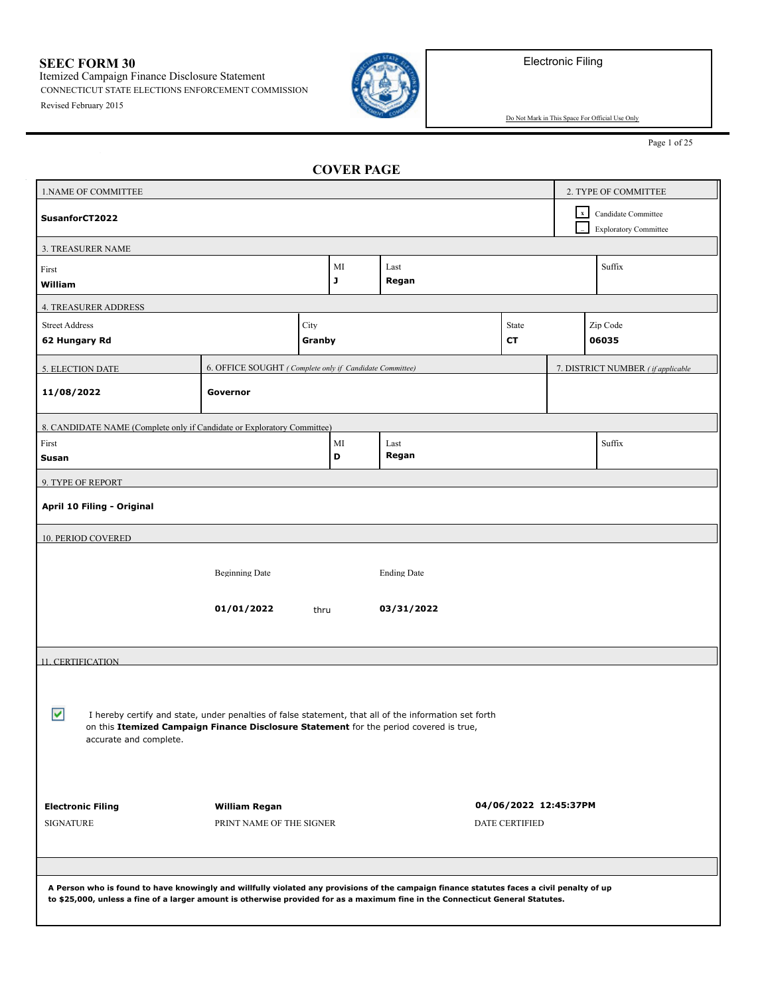Electronic Filing

**SEEC FORM 30** Itemized Campaign Finance Disclosure Statement

Revised February 2015 CONNECTICUT STATE ELECTIONS ENFORCEMENT COMMISSION



Do Not Mark in This Space For Official Use Only

Page 1 of 25

| CVIERIAVE                                                                                                                                  |                                                         |        |    |                    |                       |             |                                   |  |
|--------------------------------------------------------------------------------------------------------------------------------------------|---------------------------------------------------------|--------|----|--------------------|-----------------------|-------------|-----------------------------------|--|
| 1. NAME OF COMMITTEE                                                                                                                       |                                                         |        |    |                    |                       |             | 2. TYPE OF COMMITTEE              |  |
| SusanforCT2022                                                                                                                             |                                                         |        |    |                    |                       | $\mathbf x$ | Candidate Committee               |  |
|                                                                                                                                            |                                                         |        |    |                    |                       |             | <b>Exploratory Committee</b>      |  |
| 3. TREASURER NAME                                                                                                                          |                                                         |        |    |                    |                       |             |                                   |  |
| First                                                                                                                                      |                                                         |        | MI | Last               |                       |             | Suffix                            |  |
| William                                                                                                                                    |                                                         |        | J  | Regan              |                       |             |                                   |  |
| <b>4. TREASURER ADDRESS</b>                                                                                                                |                                                         |        |    |                    |                       |             |                                   |  |
| <b>Street Address</b>                                                                                                                      |                                                         | City   |    |                    | State                 |             | Zip Code                          |  |
| 62 Hungary Rd                                                                                                                              |                                                         | Granby |    |                    | CТ                    |             | 06035                             |  |
| 5. ELECTION DATE                                                                                                                           | 6. OFFICE SOUGHT (Complete only if Candidate Committee) |        |    |                    |                       |             | 7. DISTRICT NUMBER (if applicable |  |
| 11/08/2022                                                                                                                                 | Governor                                                |        |    |                    |                       |             |                                   |  |
|                                                                                                                                            |                                                         |        |    |                    |                       |             |                                   |  |
| 8. CANDIDATE NAME (Complete only if Candidate or Exploratory Committee)                                                                    |                                                         |        |    |                    |                       |             |                                   |  |
| First                                                                                                                                      |                                                         |        | MI | Last               |                       |             | Suffix                            |  |
| Susan                                                                                                                                      |                                                         |        | D  | Regan              |                       |             |                                   |  |
| 9. TYPE OF REPORT                                                                                                                          |                                                         |        |    |                    |                       |             |                                   |  |
| April 10 Filing - Original                                                                                                                 |                                                         |        |    |                    |                       |             |                                   |  |
| 10. PERIOD COVERED                                                                                                                         |                                                         |        |    |                    |                       |             |                                   |  |
|                                                                                                                                            |                                                         |        |    |                    |                       |             |                                   |  |
|                                                                                                                                            | <b>Beginning Date</b>                                   |        |    | <b>Ending Date</b> |                       |             |                                   |  |
|                                                                                                                                            |                                                         |        |    |                    |                       |             |                                   |  |
|                                                                                                                                            | 01/01/2022                                              | thru   |    | 03/31/2022         |                       |             |                                   |  |
|                                                                                                                                            |                                                         |        |    |                    |                       |             |                                   |  |
| <b>11. CERTIFICATION</b>                                                                                                                   |                                                         |        |    |                    |                       |             |                                   |  |
|                                                                                                                                            |                                                         |        |    |                    |                       |             |                                   |  |
|                                                                                                                                            |                                                         |        |    |                    |                       |             |                                   |  |
| ⊽<br>I hereby certify and state, under penalties of false statement, that all of the information set forth                                 |                                                         |        |    |                    |                       |             |                                   |  |
| on this Itemized Campaign Finance Disclosure Statement for the period covered is true,<br>accurate and complete.                           |                                                         |        |    |                    |                       |             |                                   |  |
|                                                                                                                                            |                                                         |        |    |                    |                       |             |                                   |  |
|                                                                                                                                            |                                                         |        |    |                    |                       |             |                                   |  |
|                                                                                                                                            |                                                         |        |    |                    |                       |             |                                   |  |
| <b>Electronic Filing</b>                                                                                                                   | William Regan                                           |        |    |                    | 04/06/2022 12:45:37PM |             |                                   |  |
| <b>SIGNATURE</b><br>PRINT NAME OF THE SIGNER<br><b>DATE CERTIFIED</b>                                                                      |                                                         |        |    |                    |                       |             |                                   |  |
|                                                                                                                                            |                                                         |        |    |                    |                       |             |                                   |  |
|                                                                                                                                            |                                                         |        |    |                    |                       |             |                                   |  |
| A Person who is found to have knowingly and willfully violated any provisions of the campaign finance statutes faces a civil penalty of up |                                                         |        |    |                    |                       |             |                                   |  |
| to \$25,000, unless a fine of a larger amount is otherwise provided for as a maximum fine in the Connecticut General Statutes.             |                                                         |        |    |                    |                       |             |                                   |  |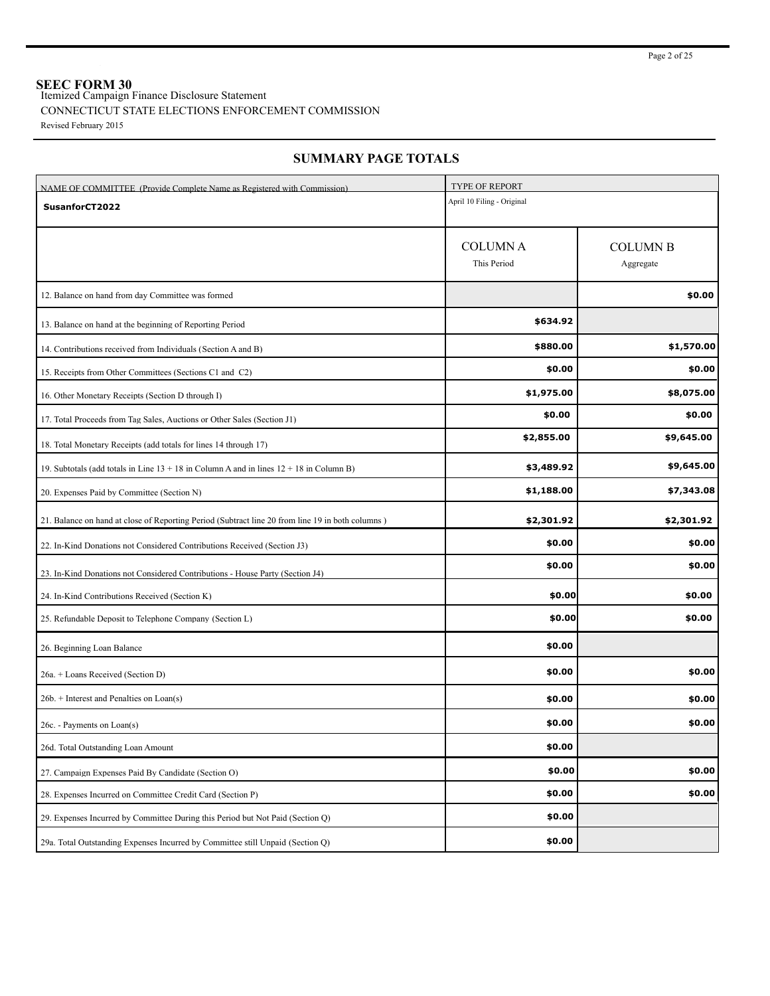**SEEC FORM 30** Itemized Campaign Finance Disclosure Statement

## CONNECTICUT STATE ELECTIONS ENFORCEMENT COMMISSION

Revised February 2015

| NAME OF COMMITTEE (Provide Complete Name as Registered with Commission)                          | <b>TYPE OF REPORT</b>          |                              |  |  |  |
|--------------------------------------------------------------------------------------------------|--------------------------------|------------------------------|--|--|--|
| SusanforCT2022                                                                                   | April 10 Filing - Original     |                              |  |  |  |
|                                                                                                  | <b>COLUMN A</b><br>This Period | <b>COLUMN B</b><br>Aggregate |  |  |  |
| 12. Balance on hand from day Committee was formed                                                |                                | \$0.00                       |  |  |  |
| 13. Balance on hand at the beginning of Reporting Period                                         | \$634.92                       |                              |  |  |  |
| 14. Contributions received from Individuals (Section A and B)                                    | \$880.00                       | \$1,570.00                   |  |  |  |
| 15. Receipts from Other Committees (Sections C1 and C2)                                          | \$0.00                         | \$0.00                       |  |  |  |
| 16. Other Monetary Receipts (Section D through I)                                                | \$1,975.00                     | \$8,075.00                   |  |  |  |
| 17. Total Proceeds from Tag Sales, Auctions or Other Sales (Section J1)                          | \$0.00                         | \$0.00                       |  |  |  |
| 18. Total Monetary Receipts (add totals for lines 14 through 17)                                 | \$2,855.00                     | \$9,645.00                   |  |  |  |
| 19. Subtotals (add totals in Line $13 + 18$ in Column A and in lines $12 + 18$ in Column B)      | \$3,489.92                     | \$9,645.00                   |  |  |  |
| 20. Expenses Paid by Committee (Section N)                                                       | \$1,188.00                     | \$7,343.08                   |  |  |  |
| 21. Balance on hand at close of Reporting Period (Subtract line 20 from line 19 in both columns) | \$2,301.92                     | \$2,301.92                   |  |  |  |
| 22. In-Kind Donations not Considered Contributions Received (Section J3)                         | \$0.00                         | \$0.00                       |  |  |  |
| 23. In-Kind Donations not Considered Contributions - House Party (Section J4)                    | \$0.00                         | \$0.00                       |  |  |  |
| 24. In-Kind Contributions Received (Section K)                                                   | \$0.00                         | \$0.00                       |  |  |  |
| 25. Refundable Deposit to Telephone Company (Section L)                                          | \$0.00                         | \$0.00                       |  |  |  |
| 26. Beginning Loan Balance                                                                       | \$0.00                         |                              |  |  |  |
| 26a. + Loans Received (Section D)                                                                | \$0.00                         | \$0.00                       |  |  |  |
| $26b.$ + Interest and Penalties on Loan(s)                                                       | \$0.00                         | \$0.00                       |  |  |  |
| 26c. - Payments on Loan(s)                                                                       | \$0.00                         | \$0.00                       |  |  |  |
| 26d. Total Outstanding Loan Amount                                                               | \$0.00                         |                              |  |  |  |
| 27. Campaign Expenses Paid By Candidate (Section O)                                              | \$0.00                         | \$0.00                       |  |  |  |
| 28. Expenses Incurred on Committee Credit Card (Section P)                                       | \$0.00                         | \$0.00                       |  |  |  |
| 29. Expenses Incurred by Committee During this Period but Not Paid (Section Q)                   | \$0.00                         |                              |  |  |  |
| 29a. Total Outstanding Expenses Incurred by Committee still Unpaid (Section Q)                   | \$0.00                         |                              |  |  |  |

## **SUMMARY PAGE TOTALS**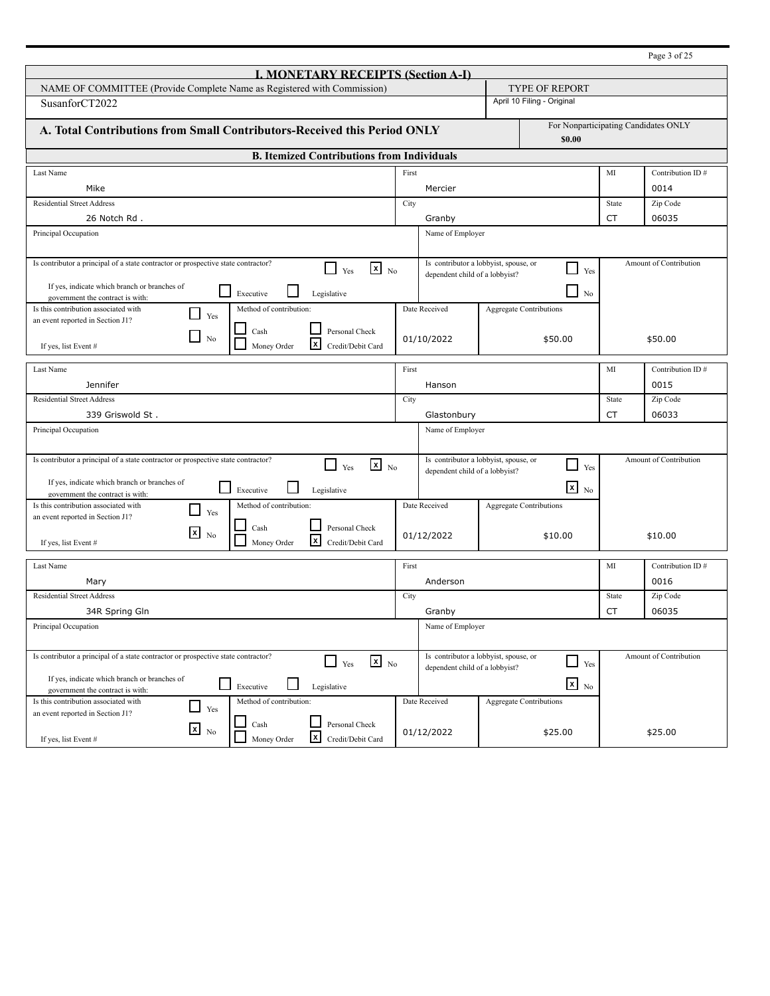|                                                                                                                         |                                |                                                   |           | Page 3 of 25           |
|-------------------------------------------------------------------------------------------------------------------------|--------------------------------|---------------------------------------------------|-----------|------------------------|
| <b>I. MONETARY RECEIPTS (Section A-I)</b>                                                                               |                                |                                                   |           |                        |
| NAME OF COMMITTEE (Provide Complete Name as Registered with Commission)                                                 |                                | <b>TYPE OF REPORT</b>                             |           |                        |
| SusanforCT2022                                                                                                          | April 10 Filing - Original     |                                                   |           |                        |
| A. Total Contributions from Small Contributors-Received this Period ONLY                                                |                                | For Nonparticipating Candidates ONLY<br>\$0.00    |           |                        |
| <b>B. Itemized Contributions from Individuals</b>                                                                       |                                |                                                   |           |                        |
| Last Name                                                                                                               | First                          |                                                   | MI        | Contribution ID#       |
| Mike                                                                                                                    | Mercier                        |                                                   |           | 0014                   |
| <b>Residential Street Address</b>                                                                                       | City                           |                                                   | State     | Zip Code               |
| 26 Notch Rd.                                                                                                            | Granby                         |                                                   | СT        | 06035                  |
| Principal Occupation                                                                                                    | Name of Employer               |                                                   |           |                        |
|                                                                                                                         |                                |                                                   |           |                        |
| Is contributor a principal of a state contractor or prospective state contractor?<br>$\mathbf{x}$ No<br>l 1<br>Yes      | dependent child of a lobbyist? | Is contributor a lobbyist, spouse, or<br>J<br>Yes |           | Amount of Contribution |
| If yes, indicate which branch or branches of<br>Executive<br>Legislative                                                |                                | $\Box$ No                                         |           |                        |
| government the contract is with:<br>Is this contribution associated with<br>Method of contribution:                     | Date Received                  | <b>Aggregate Contributions</b>                    |           |                        |
| Yes<br>an event reported in Section J1?                                                                                 |                                |                                                   |           |                        |
| Cash<br>Personal Check<br>N <sub>0</sub>                                                                                | 01/10/2022                     | \$50.00                                           |           | \$50.00                |
| $\mathbf{x}$<br>Money Order<br>Credit/Debit Card<br>If yes, list Event #                                                |                                |                                                   |           |                        |
| Last Name                                                                                                               | First                          |                                                   | MI        | Contribution ID#       |
| Jennifer                                                                                                                | Hanson                         |                                                   |           | 0015                   |
| <b>Residential Street Address</b>                                                                                       | City                           |                                                   | State     | Zip Code               |
| 339 Griswold St.                                                                                                        | Glastonbury                    |                                                   | СT        | 06033                  |
| Principal Occupation                                                                                                    | Name of Employer               |                                                   |           |                        |
|                                                                                                                         |                                |                                                   |           |                        |
| Is contributor a principal of a state contractor or prospective state contractor?<br>$\mathbf{x}$ No<br>l 1             |                                | Is contributor a lobbyist, spouse, or             |           | Amount of Contribution |
| Yes                                                                                                                     | dependent child of a lobbyist? | Yes                                               |           |                        |
| If yes, indicate which branch or branches of<br>Executive<br>Legislative<br>government the contract is with:            |                                | $\mathbf{x}$ No                                   |           |                        |
| Is this contribution associated with<br>Method of contribution:<br>Yes                                                  | Date Received                  | <b>Aggregate Contributions</b>                    |           |                        |
| an event reported in Section J1?<br>Personal Check<br>Cash                                                              |                                |                                                   |           |                        |
| $\lfloor x \rfloor$<br>No<br>$\mathbf{x}$<br>Money Order<br>Credit/Debit Card<br>If yes, list Event #                   | 01/12/2022                     | \$10.00                                           |           | \$10.00                |
|                                                                                                                         |                                |                                                   |           |                        |
| Last Name                                                                                                               | First                          |                                                   | MI        | Contribution ID#       |
| Mary                                                                                                                    | Anderson                       |                                                   |           | 0016                   |
| <b>Residential Street Address</b>                                                                                       | City                           |                                                   | State     | Zip Code               |
| 34R Spring Gln                                                                                                          | Granby                         |                                                   | <b>CT</b> | 06035                  |
| Principal Occupation                                                                                                    | Name of Employer               |                                                   |           |                        |
| Is contributor a principal of a state contractor or prospective state contractor?<br>$\mathbf{X}$ No<br>$\sqcup$<br>Yes |                                | Is contributor a lobbyist, spouse, or<br>Yes      |           | Amount of Contribution |
| If yes, indicate which branch or branches of                                                                            | dependent child of a lobbyist? |                                                   |           |                        |
| $\blacksquare$<br>Executive<br>Legislative<br>government the contract is with:                                          |                                | $x_{\text{No}}$                                   |           |                        |
| Method of contribution:<br>Is this contribution associated with<br>Yes                                                  | Date Received                  | <b>Aggregate Contributions</b>                    |           |                        |
| an event reported in Section J1?<br>Cash<br>Personal Check                                                              |                                |                                                   |           |                        |
| $x_{\text{No}}$<br>X<br>Money Order<br>Credit/Debit Card<br>If yes, list Event #                                        | 01/12/2022                     | \$25.00                                           |           | \$25.00                |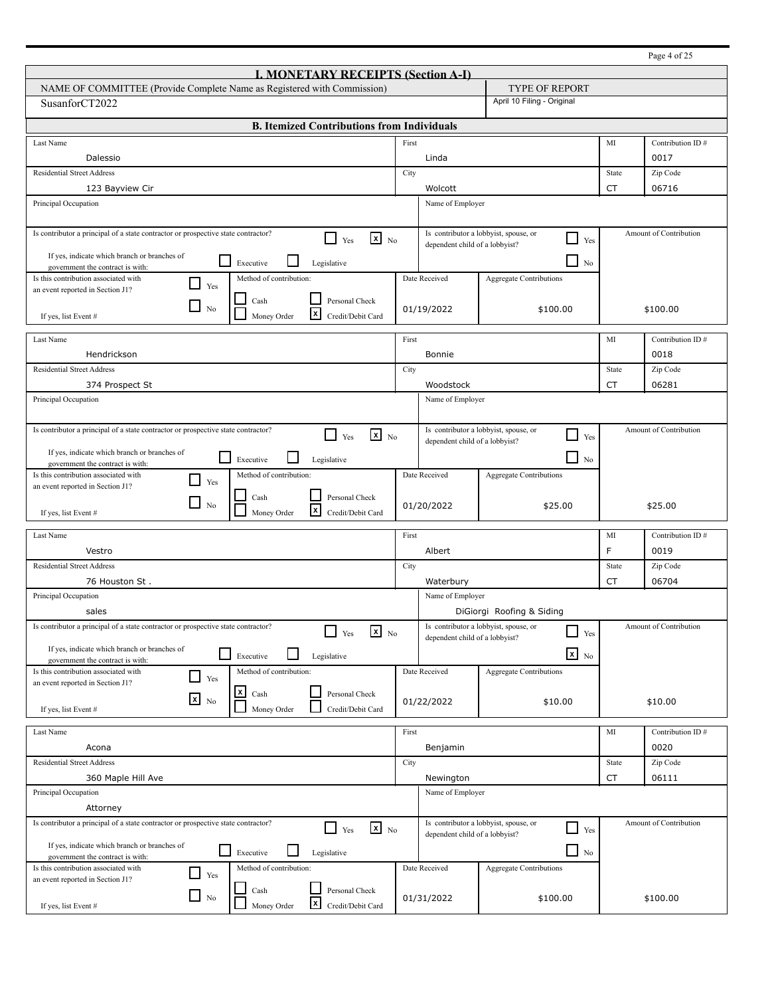|                                                                                                                              |       |                                                                         |                                 |           | Page 4 of 25           |
|------------------------------------------------------------------------------------------------------------------------------|-------|-------------------------------------------------------------------------|---------------------------------|-----------|------------------------|
| <b>I. MONETARY RECEIPTS (Section A-I)</b>                                                                                    |       |                                                                         |                                 |           |                        |
| NAME OF COMMITTEE (Provide Complete Name as Registered with Commission)                                                      |       |                                                                         | TYPE OF REPORT                  |           |                        |
| SusanforCT2022                                                                                                               |       |                                                                         | April 10 Filing - Original      |           |                        |
| <b>B. Itemized Contributions from Individuals</b>                                                                            |       |                                                                         |                                 |           |                        |
| Last Name                                                                                                                    | First |                                                                         |                                 | MI        | Contribution ID#       |
| Dalessio                                                                                                                     |       | Linda                                                                   |                                 |           | 0017                   |
| <b>Residential Street Address</b>                                                                                            | City  |                                                                         |                                 | State     | Zip Code               |
| 123 Bayview Cir                                                                                                              |       | Wolcott                                                                 |                                 | <b>CT</b> | 06716                  |
| Principal Occupation                                                                                                         |       | Name of Employer                                                        |                                 |           |                        |
| Is contributor a principal of a state contractor or prospective state contractor?<br>$\mathbf{x}$ No<br>$\perp$<br>Yes       |       | Is contributor a lobbyist, spouse, or<br>dependent child of a lobbyist? | $\Box$<br>Yes                   |           | Amount of Contribution |
| If yes, indicate which branch or branches of<br>$\mathsf{L}$<br>Executive<br>Legislative                                     |       |                                                                         | $\Box$<br>No                    |           |                        |
| government the contract is with:<br>Is this contribution associated with<br>Method of contribution:                          |       | Date Received                                                           | Aggregate Contributions         |           |                        |
| $\blacksquare$<br>Yes<br>an event reported in Section J1?                                                                    |       |                                                                         |                                 |           |                        |
| Personal Check<br>Cash<br>$\Box$<br>N <sub>0</sub><br>l×l<br>Money Order<br>Credit/Debit Card<br>If yes, list Event #        |       | 01/19/2022                                                              | \$100.00                        |           | \$100.00               |
| Last Name                                                                                                                    | First |                                                                         |                                 | MI        | Contribution ID#       |
| Hendrickson                                                                                                                  |       | Bonnie                                                                  |                                 |           | 0018                   |
| <b>Residential Street Address</b>                                                                                            | City  |                                                                         |                                 | State     | Zip Code               |
| 374 Prospect St                                                                                                              |       | Woodstock                                                               |                                 | CT        | 06281                  |
| Principal Occupation                                                                                                         |       | Name of Employer                                                        |                                 |           |                        |
|                                                                                                                              |       |                                                                         |                                 |           |                        |
| Is contributor a principal of a state contractor or prospective state contractor?<br>$\mathbf{x}$ No<br>П<br>Yes             |       | Is contributor a lobbyist, spouse, or                                   | - 1<br>Yes                      |           | Amount of Contribution |
| dependent child of a lobbyist?<br>If yes, indicate which branch or branches of                                               |       |                                                                         |                                 |           |                        |
| $\mathbb{R}^n$<br>$\Box$<br>Executive<br>Legislative<br>No<br>government the contract is with:                               |       |                                                                         |                                 |           |                        |
| Is this contribution associated with<br>Method of contribution:<br>$\blacksquare$<br>Yes<br>an event reported in Section J1? |       | Date Received                                                           | Aggregate Contributions         |           |                        |
| Personal Check<br>Cash<br>$\Box$<br>No                                                                                       |       | 01/20/2022                                                              | \$25.00                         |           | \$25.00                |
| x<br>Credit/Debit Card<br>Money Order<br>If yes, list Event #                                                                |       |                                                                         |                                 |           |                        |
| Last Name                                                                                                                    | First |                                                                         |                                 | МI        | Contribution ID#       |
| Vestro                                                                                                                       |       | Albert                                                                  |                                 | F         | 0019                   |
| <b>Residential Street Address</b>                                                                                            | City  |                                                                         |                                 | State     | Zip Code               |
| 76 Houston St.                                                                                                               |       | Waterbury                                                               |                                 | CT        | 06704                  |
| Principal Occupation                                                                                                         |       | Name of Employer                                                        |                                 |           |                        |
| sales                                                                                                                        |       |                                                                         | DiGiorgi Roofing & Siding       |           |                        |
| Is contributor a principal of a state contractor or prospective state contractor?<br>$\mathbf{x}$ No<br>Yes                  |       | Is contributor a lobbyist, spouse, or<br>dependent child of a lobbyist? | $\overline{\phantom{a}}$<br>Yes |           | Amount of Contribution |
| If yes, indicate which branch or branches of<br>$\mathbf{I}$<br>Executive                                                    |       |                                                                         | $\mathbf{x}$ No                 |           |                        |
| Legislative<br>government the contract is with:<br>Is this contribution associated with<br>Method of contribution:           |       | Date Received                                                           | <b>Aggregate Contributions</b>  |           |                        |
| $\Box$<br>Yes<br>an event reported in Section J1?                                                                            |       |                                                                         |                                 |           |                        |
| $\boldsymbol{x}$<br>Personal Check<br>Cash<br>$x_{N0}$                                                                       |       | 01/22/2022                                                              | \$10.00                         |           | \$10.00                |
| Money Order<br>Credit/Debit Card<br>If yes, list Event #                                                                     |       |                                                                         |                                 |           |                        |
| Last Name                                                                                                                    | First |                                                                         |                                 | MI        | Contribution ID#       |
| Acona                                                                                                                        |       | Benjamin                                                                |                                 |           | 0020                   |
| <b>Residential Street Address</b>                                                                                            | City  |                                                                         |                                 | State     | Zip Code               |
| 360 Maple Hill Ave                                                                                                           |       | Newington                                                               |                                 | CT        | 06111                  |
| Principal Occupation                                                                                                         |       | Name of Employer                                                        |                                 |           |                        |
| Attorney                                                                                                                     |       |                                                                         |                                 |           |                        |
| Is contributor a principal of a state contractor or prospective state contractor?<br>$\mathbf{x}$ No<br>$\mathsf{L}$<br>Yes  |       | Is contributor a lobbyist, spouse, or<br>dependent child of a lobbyist? | ┘<br>Yes                        |           | Amount of Contribution |
| If yes, indicate which branch or branches of<br>$\sim$<br>Executive<br>Legislative                                           |       |                                                                         | ┚<br>No                         |           |                        |
| government the contract is with:<br>Is this contribution associated with<br>Method of contribution:                          |       | Date Received                                                           | <b>Aggregate Contributions</b>  |           |                        |
| $\overline{\phantom{a}}$<br>Yes<br>an event reported in Section J1?                                                          |       |                                                                         |                                 |           |                        |
| Cash<br>Personal Check<br>$\Box$ No<br> x                                                                                    |       | 01/31/2022                                                              | \$100.00                        |           | \$100.00               |
| Money Order<br>Credit/Debit Card<br>If yes, list Event #                                                                     |       |                                                                         |                                 |           |                        |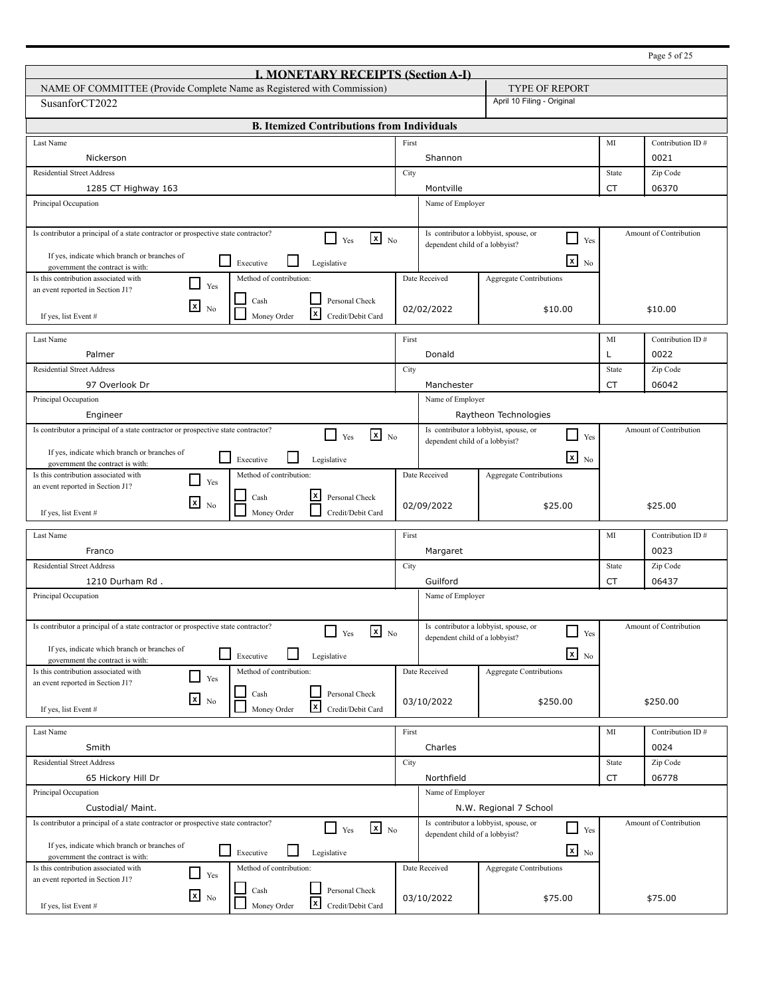|                                                                                                                              |                            |                                       |                                                   |           | Page 5 of 25           |
|------------------------------------------------------------------------------------------------------------------------------|----------------------------|---------------------------------------|---------------------------------------------------|-----------|------------------------|
| <b>I. MONETARY RECEIPTS (Section A-I)</b>                                                                                    |                            |                                       |                                                   |           |                        |
| NAME OF COMMITTEE (Provide Complete Name as Registered with Commission)                                                      |                            |                                       |                                                   |           |                        |
| SusanforCT2022                                                                                                               | April 10 Filing - Original |                                       |                                                   |           |                        |
| <b>B. Itemized Contributions from Individuals</b>                                                                            |                            |                                       |                                                   |           |                        |
| Last Name                                                                                                                    | First                      |                                       |                                                   | MI        | Contribution ID#       |
| Nickerson                                                                                                                    |                            | Shannon                               |                                                   |           | 0021                   |
| <b>Residential Street Address</b>                                                                                            | City                       |                                       |                                                   | State     | Zip Code               |
| 1285 CT Highway 163                                                                                                          |                            | Montville                             |                                                   | <b>CT</b> | 06370                  |
| Principal Occupation                                                                                                         |                            | Name of Employer                      |                                                   |           |                        |
| Is contributor a principal of a state contractor or prospective state contractor?<br>$x_{N0}$<br>l I<br>Yes                  |                            | Is contributor a lobbyist, spouse, or | $\Box$<br>Yes                                     |           | Amount of Contribution |
| If yes, indicate which branch or branches of<br>$\mathsf{L}$                                                                 |                            | dependent child of a lobbyist?        |                                                   |           |                        |
| Executive<br>Legislative<br>government the contract is with:                                                                 |                            |                                       | $\overline{\mathbf{x}}$ No                        |           |                        |
| Is this contribution associated with<br>Method of contribution:<br>$\blacksquare$<br>Yes<br>an event reported in Section J1? |                            | Date Received                         | <b>Aggregate Contributions</b>                    |           |                        |
| Personal Check<br>Cash<br>⊠                                                                                                  |                            |                                       |                                                   |           |                        |
| N <sub>0</sub><br>l×l<br>Money Order<br>Credit/Debit Card<br>If yes, list Event #                                            |                            | 02/02/2022                            | \$10.00                                           |           | \$10.00                |
| Last Name                                                                                                                    | First                      |                                       |                                                   | MI        | Contribution ID#       |
| Palmer                                                                                                                       |                            | Donald                                |                                                   | Г         | 0022                   |
| <b>Residential Street Address</b>                                                                                            | City                       |                                       |                                                   | State     | Zip Code               |
| 97 Overlook Dr                                                                                                               |                            | Manchester                            |                                                   | CT        | 06042                  |
| Principal Occupation                                                                                                         |                            | Name of Employer                      |                                                   |           |                        |
| Engineer                                                                                                                     |                            |                                       | Raytheon Technologies                             |           |                        |
| Is contributor a principal of a state contractor or prospective state contractor?<br>$\mathbf{x}$ No<br>П<br>Yes             |                            | Is contributor a lobbyist, spouse, or | Yes                                               |           | Amount of Contribution |
| If yes, indicate which branch or branches of                                                                                 |                            | dependent child of a lobbyist?        |                                                   |           |                        |
| $\overline{\phantom{a}}$<br>Executive<br>Legislative<br>government the contract is with:                                     |                            |                                       | $\overline{\mathbf{x}}$ No                        |           |                        |
| Is this contribution associated with<br>Method of contribution:<br>$\blacksquare$<br>Yes                                     |                            | Date Received                         | <b>Aggregate Contributions</b>                    |           |                        |
| an event reported in Section J1?<br> x<br>Personal Check<br>Cash                                                             |                            |                                       |                                                   |           |                        |
| $\boxed{\mathbf{x}}$<br>N <sub>0</sub><br>Money Order<br>Credit/Debit Card<br>If yes, list Event #                           |                            | 02/09/2022                            | \$25.00                                           |           | \$25.00                |
| Last Name                                                                                                                    | First                      |                                       |                                                   | MI        | Contribution ID#       |
| Franco                                                                                                                       |                            | Margaret                              |                                                   |           | 0023                   |
| <b>Residential Street Address</b>                                                                                            | City                       |                                       |                                                   | State     | Zip Code               |
| 1210 Durham Rd.                                                                                                              |                            | Guilford                              |                                                   | CT        | 06437                  |
| Principal Occupation                                                                                                         | Name of Employer           |                                       |                                                   |           |                        |
|                                                                                                                              |                            |                                       |                                                   |           |                        |
| Is contributor a principal of a state contractor or prospective state contractor?<br>$\mathbf{x}$ No<br>Yes                  |                            | Is contributor a lobbyist, spouse, or | - 1<br>Yes                                        |           | Amount of Contribution |
| If yes, indicate which branch or branches of                                                                                 |                            | dependent child of a lobbyist?        |                                                   |           |                        |
| $\mathbb{R}^n$<br>Legislative<br>Executive<br>government the contract is with:                                               |                            |                                       | $x_{\text{No}}$                                   |           |                        |
| Is this contribution associated with<br>Method of contribution:<br>$\Box$<br>Yes<br>an event reported in Section J1?         |                            | Date Received                         | <b>Aggregate Contributions</b>                    |           |                        |
| Personal Check<br>Cash<br>$x_{N0}$                                                                                           |                            |                                       |                                                   |           |                        |
| x <br>Money Order<br>Credit/Debit Card<br>If yes, list Event #                                                               |                            | 03/10/2022                            | \$250.00                                          |           | \$250.00               |
| Last Name                                                                                                                    | First                      |                                       |                                                   | MI        | Contribution ID#       |
| Smith                                                                                                                        |                            | Charles                               |                                                   |           | 0024                   |
| <b>Residential Street Address</b>                                                                                            | City                       |                                       |                                                   | State     | Zip Code               |
| 65 Hickory Hill Dr                                                                                                           |                            | Northfield                            |                                                   | CT        | 06778                  |
| Principal Occupation                                                                                                         |                            | Name of Employer                      |                                                   |           |                        |
| Custodial/ Maint.                                                                                                            |                            |                                       | N.W. Regional 7 School                            |           |                        |
| Is contributor a principal of a state contractor or prospective state contractor?<br>$\mathbf{x}$ No<br>l 1<br>Yes           |                            |                                       | Is contributor a lobbyist, spouse, or<br>┘<br>Yes |           | Amount of Contribution |
| If yes, indicate which branch or branches of                                                                                 |                            | dependent child of a lobbyist?        |                                                   |           |                        |
| $\sim$<br>Executive<br>Legislative<br>government the contract is with:                                                       |                            |                                       | $\mathbf{X}$ No                                   |           |                        |
| Is this contribution associated with<br>Method of contribution:<br>$\mathcal{L}$<br>Yes                                      |                            | Date Received                         | <b>Aggregate Contributions</b>                    |           |                        |
| an event reported in Section J1?<br>Personal Check<br>Cash                                                                   |                            |                                       |                                                   |           |                        |
| $x_{\text{No}}$<br> x<br>Money Order<br>Credit/Debit Card<br>If yes, list Event #                                            |                            | 03/10/2022                            | \$75.00                                           |           | \$75.00                |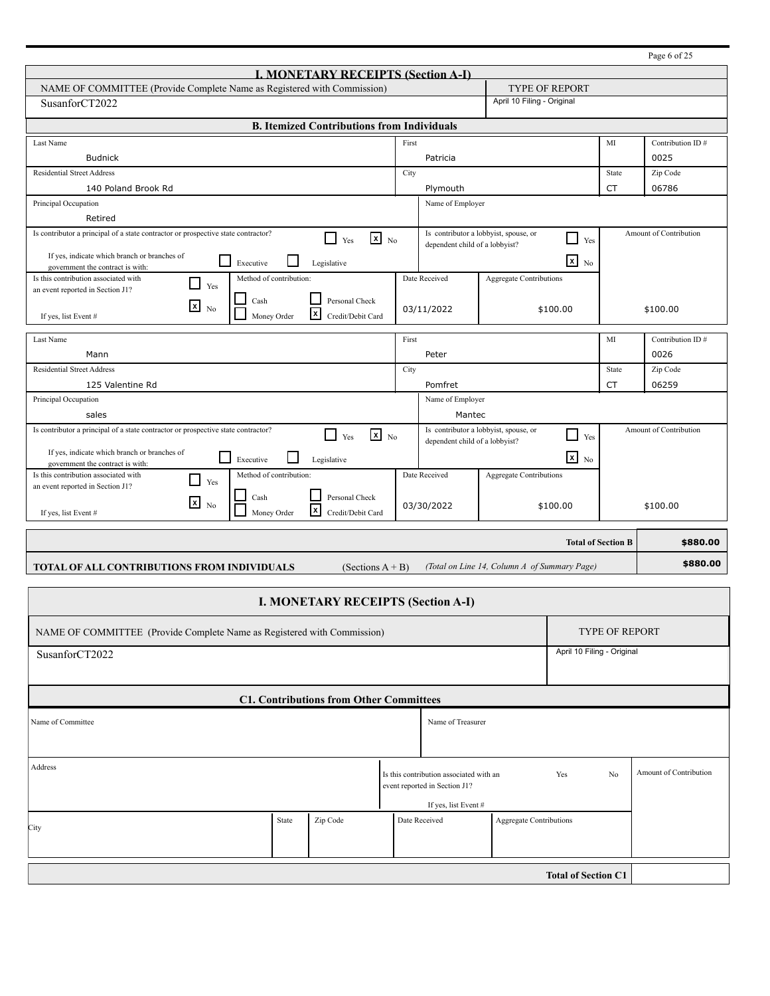| <b>I. MONETARY RECEIPTS (Section A-I)</b>                                                                         |       |                                       |                                |           |                        |  |  |  |
|-------------------------------------------------------------------------------------------------------------------|-------|---------------------------------------|--------------------------------|-----------|------------------------|--|--|--|
| NAME OF COMMITTEE (Provide Complete Name as Registered with Commission)                                           |       |                                       | <b>TYPE OF REPORT</b>          |           |                        |  |  |  |
| SusanforCT2022                                                                                                    |       |                                       | April 10 Filing - Original     |           |                        |  |  |  |
| <b>B. Itemized Contributions from Individuals</b>                                                                 |       |                                       |                                |           |                        |  |  |  |
|                                                                                                                   | First |                                       |                                |           | Contribution ID#       |  |  |  |
| Last Name                                                                                                         |       |                                       |                                | MI        | 0025                   |  |  |  |
| <b>Budnick</b>                                                                                                    |       | Patricia                              |                                |           |                        |  |  |  |
| <b>Residential Street Address</b>                                                                                 | City  |                                       |                                | State     | Zip Code               |  |  |  |
| 140 Poland Brook Rd                                                                                               |       | Plymouth                              |                                | CT        | 06786                  |  |  |  |
| Principal Occupation                                                                                              |       | Name of Employer                      |                                |           |                        |  |  |  |
| Retired<br>Is contributor a principal of a state contractor or prospective state contractor?                      |       | Is contributor a lobbyist, spouse, or |                                |           | Amount of Contribution |  |  |  |
| $\mathbf{x}$ No<br>П<br>Yes                                                                                       |       | dependent child of a lobbyist?        | Yes                            |           |                        |  |  |  |
| If yes, indicate which branch or branches of<br>$\blacksquare$<br>Executive<br>Legislative                        |       |                                       | $\boxed{\mathbf{x}}$ No        |           |                        |  |  |  |
| government the contract is with:<br>Is this contribution associated with<br>Method of contribution:               |       | Date Received                         | <b>Aggregate Contributions</b> |           |                        |  |  |  |
| Yes<br>an event reported in Section J1?                                                                           |       |                                       |                                |           |                        |  |  |  |
| Personal Check<br>Cash<br>$\lfloor x \rfloor$<br>N <sub>0</sub>                                                   |       | 03/11/2022                            | \$100.00                       |           | \$100.00               |  |  |  |
| $\vert x \vert$<br>If yes, list Event #<br>Money Order<br>Credit/Debit Card                                       |       |                                       |                                |           |                        |  |  |  |
| Last Name                                                                                                         | First |                                       |                                | MI        | Contribution ID#       |  |  |  |
| Mann                                                                                                              |       | Peter                                 |                                |           | 0026                   |  |  |  |
| <b>Residential Street Address</b>                                                                                 | City  |                                       |                                | State     | Zip Code               |  |  |  |
| 125 Valentine Rd                                                                                                  |       | Pomfret                               |                                | <b>CT</b> | 06259                  |  |  |  |
| Principal Occupation                                                                                              |       | Name of Employer                      |                                |           |                        |  |  |  |
| sales                                                                                                             |       | Mantec                                |                                |           |                        |  |  |  |
| Is contributor a principal of a state contractor or prospective state contractor?<br>$\mathbf{X}$ No<br>П         |       | Is contributor a lobbyist, spouse, or |                                |           | Amount of Contribution |  |  |  |
| Yes                                                                                                               |       | dependent child of a lobbyist?        | $\perp$ Yes                    |           |                        |  |  |  |
| If yes, indicate which branch or branches of<br>H<br>Executive<br>Legislative<br>government the contract is with: |       |                                       | $x_{N0}$                       |           |                        |  |  |  |
| Is this contribution associated with<br>Method of contribution:<br>Yes                                            |       | Date Received                         | Aggregate Contributions        |           |                        |  |  |  |
| an event reported in Section J1?<br>Personal Check<br>Cash                                                        |       |                                       |                                |           |                        |  |  |  |
| $\mathbf{x}$<br>N <sub>0</sub><br>l×l<br>Credit/Debit Card<br>Money Order<br>If yes, list Event #                 |       | 03/30/2022                            | \$100.00                       |           | \$100.00               |  |  |  |
|                                                                                                                   |       |                                       |                                |           |                        |  |  |  |
|                                                                                                                   |       |                                       | <b>Total of Section B</b>      |           | \$880.00               |  |  |  |

## **TOTAL OF ALL CONTRIBUTIONS FROM INDIVIDUALS** (Sections A + B) *(Total on Line 14, Column A of Summary Page)*

**\$880.00** 

| <b>I. MONETARY RECEIPTS (Section A-I)</b>                                           |                                                                         |          |                                       |                   |                            |                       |                |                        |
|-------------------------------------------------------------------------------------|-------------------------------------------------------------------------|----------|---------------------------------------|-------------------|----------------------------|-----------------------|----------------|------------------------|
|                                                                                     | NAME OF COMMITTEE (Provide Complete Name as Registered with Commission) |          |                                       |                   |                            | <b>TYPE OF REPORT</b> |                |                        |
| SusanforCT2022                                                                      |                                                                         |          |                                       |                   | April 10 Filing - Original |                       |                |                        |
| <b>C1. Contributions from Other Committees</b>                                      |                                                                         |          |                                       |                   |                            |                       |                |                        |
| Name of Committee                                                                   |                                                                         |          |                                       | Name of Treasurer |                            |                       |                |                        |
| Address<br>Is this contribution associated with an<br>event reported in Section J1? |                                                                         |          |                                       |                   |                            | Yes                   | N <sub>0</sub> | Amount of Contribution |
| City                                                                                | State                                                                   | Zip Code | If yes, list Event #<br>Date Received |                   | Aggregate Contributions    |                       |                |                        |
| <b>Total of Section C1</b>                                                          |                                                                         |          |                                       |                   |                            |                       |                |                        |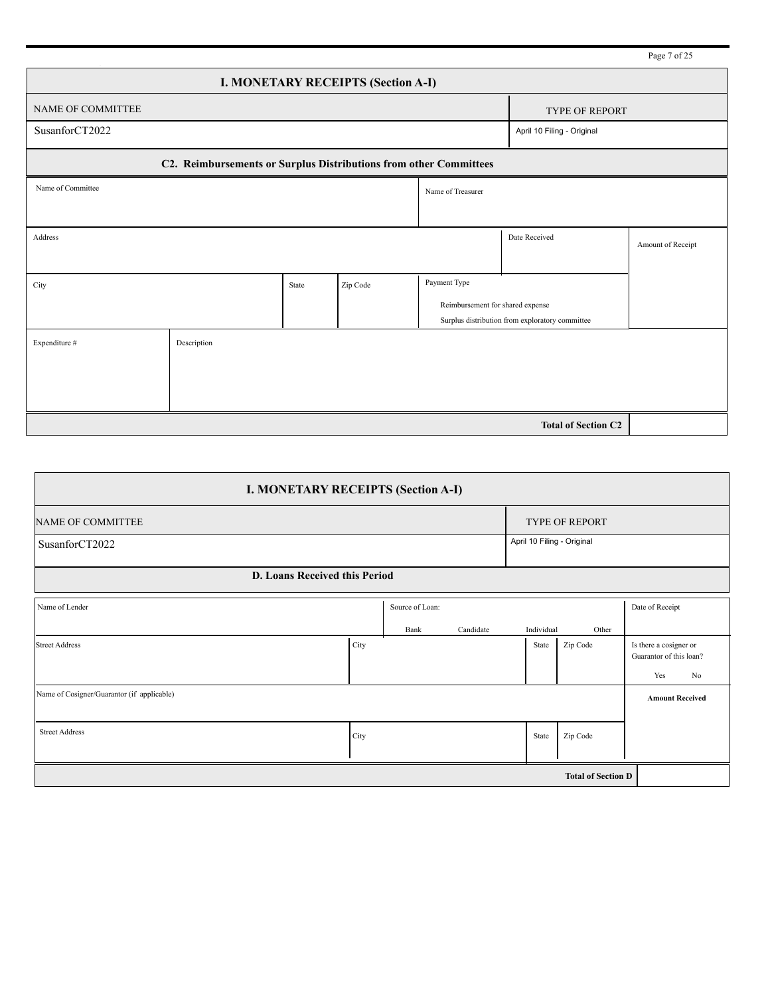|                                                                   |                            |       |          |                                  |                                                 | Page 7 of 25      |  |  |  |  |
|-------------------------------------------------------------------|----------------------------|-------|----------|----------------------------------|-------------------------------------------------|-------------------|--|--|--|--|
| <b>I. MONETARY RECEIPTS (Section A-I)</b>                         |                            |       |          |                                  |                                                 |                   |  |  |  |  |
| NAME OF COMMITTEE                                                 |                            |       |          |                                  | <b>TYPE OF REPORT</b>                           |                   |  |  |  |  |
| SusanforCT2022                                                    |                            |       |          |                                  | April 10 Filing - Original                      |                   |  |  |  |  |
| C2. Reimbursements or Surplus Distributions from other Committees |                            |       |          |                                  |                                                 |                   |  |  |  |  |
| Name of Committee                                                 |                            |       |          | Name of Treasurer                |                                                 |                   |  |  |  |  |
|                                                                   |                            |       |          |                                  |                                                 |                   |  |  |  |  |
| Address                                                           |                            |       |          |                                  | Date Received                                   | Amount of Receipt |  |  |  |  |
|                                                                   |                            |       |          |                                  |                                                 |                   |  |  |  |  |
| City                                                              |                            | State | Zip Code | Payment Type                     |                                                 |                   |  |  |  |  |
|                                                                   |                            |       |          | Reimbursement for shared expense |                                                 |                   |  |  |  |  |
|                                                                   |                            |       |          |                                  | Surplus distribution from exploratory committee |                   |  |  |  |  |
| Expenditure #                                                     | Description                |       |          |                                  |                                                 |                   |  |  |  |  |
|                                                                   |                            |       |          |                                  |                                                 |                   |  |  |  |  |
|                                                                   |                            |       |          |                                  |                                                 |                   |  |  |  |  |
|                                                                   |                            |       |          |                                  |                                                 |                   |  |  |  |  |
|                                                                   | <b>Total of Section C2</b> |       |          |                                  |                                                 |                   |  |  |  |  |

| <b>I. MONETARY RECEIPTS (Section A-I)</b>  |      |                 |           |            |                            |                                                                            |  |  |
|--------------------------------------------|------|-----------------|-----------|------------|----------------------------|----------------------------------------------------------------------------|--|--|
| <b>NAME OF COMMITTEE</b>                   |      |                 |           |            | TYPE OF REPORT             |                                                                            |  |  |
| SusanforCT2022                             |      |                 |           |            | April 10 Filing - Original |                                                                            |  |  |
| <b>D. Loans Received this Period</b>       |      |                 |           |            |                            |                                                                            |  |  |
| Name of Lender                             |      | Source of Loan: |           |            |                            | Date of Receipt                                                            |  |  |
|                                            |      | Bank            | Candidate | Individual | Other                      |                                                                            |  |  |
| Street Address                             | City |                 |           | State      | Zip Code                   | Is there a cosigner or<br>Guarantor of this loan?<br>Yes<br>N <sub>0</sub> |  |  |
| Name of Cosigner/Guarantor (if applicable) |      |                 |           |            |                            | <b>Amount Received</b>                                                     |  |  |
| <b>Street Address</b>                      | City |                 |           | State      | Zip Code                   |                                                                            |  |  |
| <b>Total of Section D</b>                  |      |                 |           |            |                            |                                                                            |  |  |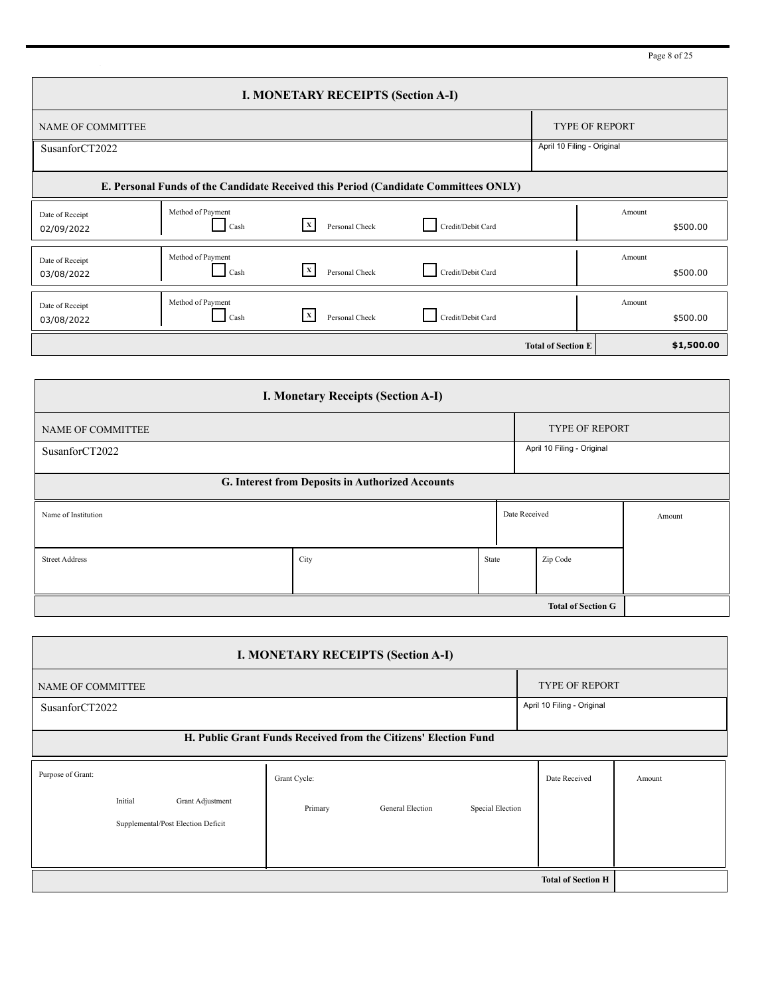Page 8 of 25

| <b>I. MONETARY RECEIPTS (Section A-I)</b> |                                                                                     |                                |                   |                           |        |            |  |  |  |
|-------------------------------------------|-------------------------------------------------------------------------------------|--------------------------------|-------------------|---------------------------|--------|------------|--|--|--|
| <b>NAME OF COMMITTEE</b>                  |                                                                                     |                                |                   | <b>TYPE OF REPORT</b>     |        |            |  |  |  |
| SusanforCT2022                            | April 10 Filing - Original                                                          |                                |                   |                           |        |            |  |  |  |
|                                           | E. Personal Funds of the Candidate Received this Period (Candidate Committees ONLY) |                                |                   |                           |        |            |  |  |  |
| Date of Receipt<br>02/09/2022             | Method of Payment<br>Cash                                                           | $\mathbf{x}$<br>Personal Check | Credit/Debit Card |                           | Amount | \$500.00   |  |  |  |
| Date of Receipt<br>03/08/2022             | Method of Payment<br>Cash                                                           | $\mathbf{X}$<br>Personal Check | Credit/Debit Card |                           | Amount | \$500.00   |  |  |  |
| Date of Receipt<br>03/08/2022             | Method of Payment<br>Cash                                                           | $\mathbf{x}$<br>Personal Check | Credit/Debit Card |                           | Amount | \$500.00   |  |  |  |
|                                           |                                                                                     |                                |                   | <b>Total of Section E</b> |        | \$1,500.00 |  |  |  |

| <b>I. Monetary Receipts (Section A-I)</b>        |                            |                       |               |          |        |  |  |  |  |
|--------------------------------------------------|----------------------------|-----------------------|---------------|----------|--------|--|--|--|--|
| NAME OF COMMITTEE                                |                            | <b>TYPE OF REPORT</b> |               |          |        |  |  |  |  |
| SusanforCT2022                                   | April 10 Filing - Original |                       |               |          |        |  |  |  |  |
| G. Interest from Deposits in Authorized Accounts |                            |                       |               |          |        |  |  |  |  |
| Name of Institution                              |                            |                       | Date Received |          | Amount |  |  |  |  |
|                                                  |                            |                       |               |          |        |  |  |  |  |
| <b>Street Address</b>                            | City                       | State                 |               | Zip Code |        |  |  |  |  |
|                                                  |                            |                       |               |          |        |  |  |  |  |
| <b>Total of Section G</b>                        |                            |                       |               |          |        |  |  |  |  |

| <b>I. MONETARY RECEIPTS (Section A-I)</b>                       |                       |                            |                  |               |        |  |  |  |
|-----------------------------------------------------------------|-----------------------|----------------------------|------------------|---------------|--------|--|--|--|
| NAME OF COMMITTEE                                               | <b>TYPE OF REPORT</b> |                            |                  |               |        |  |  |  |
| SusanforCT2022                                                  |                       | April 10 Filing - Original |                  |               |        |  |  |  |
| H. Public Grant Funds Received from the Citizens' Election Fund |                       |                            |                  |               |        |  |  |  |
| Purpose of Grant:                                               | Grant Cycle:          |                            |                  | Date Received | Amount |  |  |  |
| Initial<br>Grant Adjustment                                     | Primary               | General Election           | Special Election |               |        |  |  |  |
| Supplemental/Post Election Deficit                              |                       |                            |                  |               |        |  |  |  |
|                                                                 |                       |                            |                  |               |        |  |  |  |
|                                                                 |                       |                            |                  |               |        |  |  |  |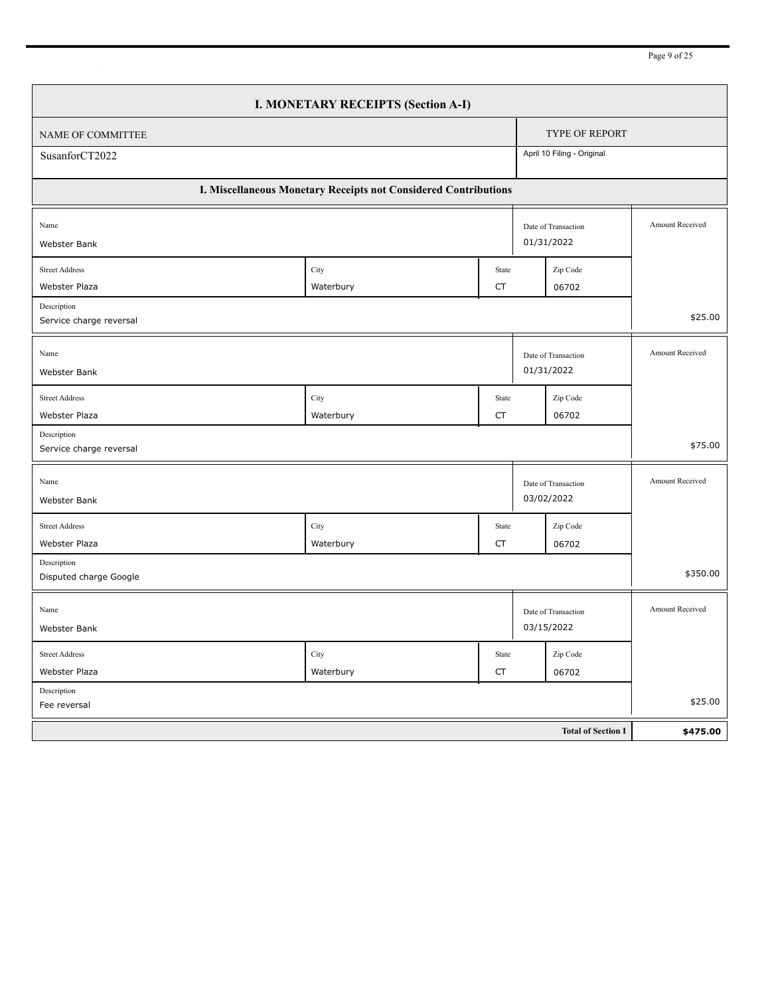| I. MONETARY RECEIPTS (Section A-I)            |                                                                 |                    |  |                                   |                 |  |  |
|-----------------------------------------------|-----------------------------------------------------------------|--------------------|--|-----------------------------------|-----------------|--|--|
| <b>TYPE OF REPORT</b><br>NAME OF COMMITTEE    |                                                                 |                    |  |                                   |                 |  |  |
| SusanforCT2022                                |                                                                 |                    |  | April 10 Filing - Original        |                 |  |  |
|                                               | I. Miscellaneous Monetary Receipts not Considered Contributions |                    |  |                                   |                 |  |  |
| Name                                          |                                                                 |                    |  | Date of Transaction<br>01/31/2022 | Amount Received |  |  |
| Webster Bank                                  |                                                                 |                    |  |                                   |                 |  |  |
| <b>Street Address</b><br><b>Webster Plaza</b> | City<br>Waterbury                                               | State<br><b>CT</b> |  | Zip Code<br>06702                 |                 |  |  |
| Description                                   |                                                                 |                    |  |                                   |                 |  |  |
| Service charge reversal                       |                                                                 |                    |  |                                   | \$25.00         |  |  |
| Name<br>Webster Bank                          |                                                                 |                    |  | Date of Transaction<br>01/31/2022 | Amount Received |  |  |
| <b>Street Address</b>                         |                                                                 | State              |  |                                   |                 |  |  |
| <b>Webster Plaza</b>                          | City<br>Waterbury                                               | <b>CT</b>          |  | Zip Code<br>06702                 |                 |  |  |
| Description<br>Service charge reversal        |                                                                 |                    |  |                                   | \$75.00         |  |  |
| Name                                          |                                                                 |                    |  | Date of Transaction<br>03/02/2022 | Amount Received |  |  |
| Webster Bank                                  |                                                                 |                    |  |                                   |                 |  |  |
| <b>Street Address</b>                         | City                                                            | State              |  | Zip Code                          |                 |  |  |
| Webster Plaza<br>Description                  | Waterbury                                                       | CT                 |  | 06702                             |                 |  |  |
| Disputed charge Google                        |                                                                 |                    |  |                                   | \$350.00        |  |  |
| Name                                          |                                                                 |                    |  | Date of Transaction               | Amount Received |  |  |
| Webster Bank                                  |                                                                 |                    |  | 03/15/2022                        |                 |  |  |
| <b>Street Address</b>                         | City                                                            | State              |  | Zip Code                          |                 |  |  |
| Webster Plaza                                 | Waterbury                                                       | <b>CT</b>          |  | 06702                             |                 |  |  |
| Description<br>Fee reversal                   |                                                                 |                    |  |                                   | \$25.00         |  |  |
|                                               |                                                                 |                    |  | <b>Total of Section I</b>         | \$475.00        |  |  |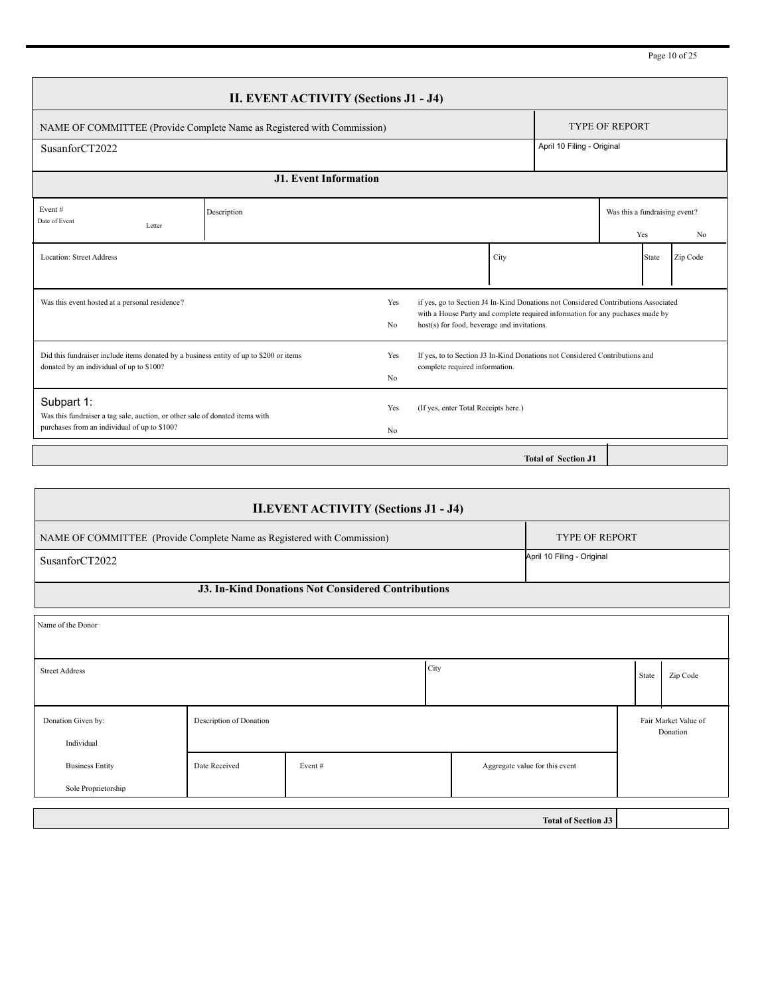Page 10 of 25

| <b>II. EVENT ACTIVITY (Sections J1 - J4)</b>                                                                                                                                                                                                                                                  |             |                       |                                      |                            |                               |  |  |  |  |
|-----------------------------------------------------------------------------------------------------------------------------------------------------------------------------------------------------------------------------------------------------------------------------------------------|-------------|-----------------------|--------------------------------------|----------------------------|-------------------------------|--|--|--|--|
| <b>TYPE OF REPORT</b><br>NAME OF COMMITTEE (Provide Complete Name as Registered with Commission)                                                                                                                                                                                              |             |                       |                                      |                            |                               |  |  |  |  |
| SusanforCT2022                                                                                                                                                                                                                                                                                |             |                       |                                      | April 10 Filing - Original |                               |  |  |  |  |
| <b>J1. Event Information</b>                                                                                                                                                                                                                                                                  |             |                       |                                      |                            |                               |  |  |  |  |
| Event#<br>Date of Event                                                                                                                                                                                                                                                                       | Description |                       |                                      |                            | Was this a fundraising event? |  |  |  |  |
| Letter                                                                                                                                                                                                                                                                                        |             |                       |                                      |                            | Yes<br>N <sub>0</sub>         |  |  |  |  |
| <b>Location: Street Address</b>                                                                                                                                                                                                                                                               |             |                       | City                                 |                            | Zip Code<br><b>State</b>      |  |  |  |  |
| if yes, go to Section J4 In-Kind Donations not Considered Contributions Associated<br>Was this event hosted at a personal residence?<br>Yes<br>with a House Party and complete required information for any puchases made by<br>host(s) for food, beverage and invitations.<br>N <sub>0</sub> |             |                       |                                      |                            |                               |  |  |  |  |
| Did this fundraiser include items donated by a business entity of up to \$200 or items<br>If yes, to to Section J3 In-Kind Donations not Considered Contributions and<br>Yes<br>donated by an individual of up to \$100?<br>complete required information.<br>No                              |             |                       |                                      |                            |                               |  |  |  |  |
| Subpart 1:<br>Was this fundraiser a tag sale, auction, or other sale of donated items with<br>purchases from an individual of up to \$100?                                                                                                                                                    |             | Yes<br>N <sub>0</sub> | (If yes, enter Total Receipts here.) |                            |                               |  |  |  |  |
|                                                                                                                                                                                                                                                                                               |             |                       |                                      | <b>Total of Section J1</b> |                               |  |  |  |  |

| <b>II.EVENT ACTIVITY (Sections J1 - J4)</b>                                                      |                            |                                          |      |                            |  |       |          |  |  |
|--------------------------------------------------------------------------------------------------|----------------------------|------------------------------------------|------|----------------------------|--|-------|----------|--|--|
| <b>TYPE OF REPORT</b><br>NAME OF COMMITTEE (Provide Complete Name as Registered with Commission) |                            |                                          |      |                            |  |       |          |  |  |
| SusanforCT2022                                                                                   |                            |                                          |      | April 10 Filing - Original |  |       |          |  |  |
| <b>J3. In-Kind Donations Not Considered Contributions</b>                                        |                            |                                          |      |                            |  |       |          |  |  |
| Name of the Donor                                                                                |                            |                                          |      |                            |  |       |          |  |  |
| <b>Street Address</b>                                                                            |                            |                                          | City |                            |  | State | Zip Code |  |  |
| Donation Given by:<br>Individual                                                                 | Description of Donation    |                                          |      |                            |  |       |          |  |  |
| <b>Business Entity</b>                                                                           | Date Received              | Aggregate value for this event<br>Event# |      |                            |  |       |          |  |  |
| Sole Proprietorship                                                                              |                            |                                          |      |                            |  |       |          |  |  |
|                                                                                                  | <b>Total of Section J3</b> |                                          |      |                            |  |       |          |  |  |
|                                                                                                  |                            |                                          |      |                            |  |       |          |  |  |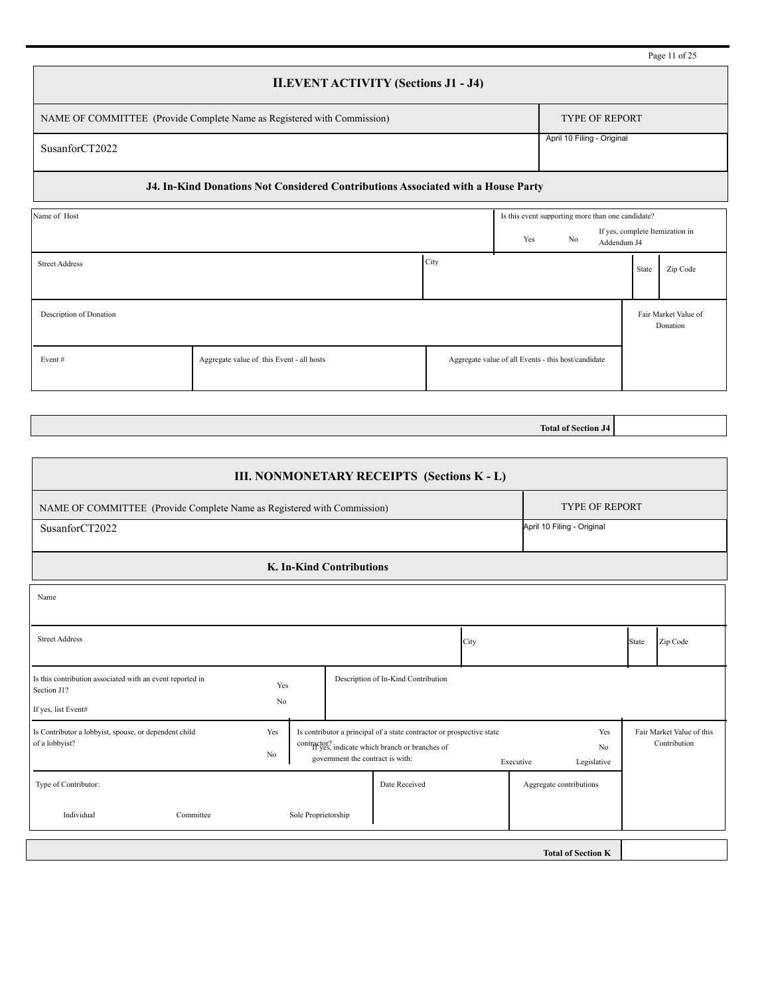|                                                                                  | Page 11 of 25              |  |  |  |  |  |  |
|----------------------------------------------------------------------------------|----------------------------|--|--|--|--|--|--|
| <b>II.EVENT ACTIVITY (Sections J1 - J4)</b>                                      |                            |  |  |  |  |  |  |
| NAME OF COMMITTEE (Provide Complete Name as Registered with Commission)          | <b>TYPE OF REPORT</b>      |  |  |  |  |  |  |
| SusanforCT2022                                                                   | April 10 Filing - Original |  |  |  |  |  |  |
| J4. In-Kind Donations Not Considered Contributions Associated with a House Party |                            |  |  |  |  |  |  |

| Name of Host            |                                           |      | Is this event supporting more than one candidate?   |  |                                 |       |                                  |
|-------------------------|-------------------------------------------|------|-----------------------------------------------------|--|---------------------------------|-------|----------------------------------|
|                         | Yes                                       | No   | Addendum J4                                         |  | If yes, complete Itemization in |       |                                  |
| <b>Street Address</b>   |                                           | City |                                                     |  |                                 | State | Zip Code                         |
| Description of Donation |                                           |      |                                                     |  |                                 |       | Fair Market Value of<br>Donation |
| Event#                  | Aggregate value of this Event - all hosts |      | Aggregate value of all Events - this host/candidate |  |                                 |       |                                  |

**Total of Section J4**

| III. NONMONETARY RECEIPTS (Sections K - L)                                                      |                            |               |                                                                                                                                                               |                                     |                         |                                                   |  |       |                                           |
|-------------------------------------------------------------------------------------------------|----------------------------|---------------|---------------------------------------------------------------------------------------------------------------------------------------------------------------|-------------------------------------|-------------------------|---------------------------------------------------|--|-------|-------------------------------------------|
| NAME OF COMMITTEE (Provide Complete Name as Registered with Commission)                         | <b>TYPE OF REPORT</b>      |               |                                                                                                                                                               |                                     |                         |                                                   |  |       |                                           |
| SusanforCT2022                                                                                  | April 10 Filing - Original |               |                                                                                                                                                               |                                     |                         |                                                   |  |       |                                           |
| <b>K. In-Kind Contributions</b>                                                                 |                            |               |                                                                                                                                                               |                                     |                         |                                                   |  |       |                                           |
| Name                                                                                            |                            |               |                                                                                                                                                               |                                     |                         |                                                   |  |       |                                           |
| <b>Street Address</b><br>City                                                                   |                            |               |                                                                                                                                                               |                                     |                         |                                                   |  | State | Zip Code                                  |
| Is this contribution associated with an event reported in<br>Section J1?<br>If yes, list Event# | Yes<br>No                  |               |                                                                                                                                                               | Description of In-Kind Contribution |                         |                                                   |  |       |                                           |
| Is Contributor a lobbyist, spouse, or dependent child<br>of a lobbyist?                         | Yes<br>No                  |               | Is contributor a principal of a state contractor or prospective state<br>contractor? indicate which branch or branches of<br>government the contract is with: |                                     |                         | Yes<br>N <sub>0</sub><br>Executive<br>Legislative |  |       | Fair Market Value of this<br>Contribution |
| Type of Contributor:                                                                            |                            | Date Received |                                                                                                                                                               |                                     | Aggregate contributions |                                                   |  |       |                                           |
| Individual<br>Sole Proprietorship<br>Committee                                                  |                            |               |                                                                                                                                                               |                                     |                         |                                                   |  |       |                                           |
|                                                                                                 |                            |               |                                                                                                                                                               |                                     |                         | <b>Total of Section K</b>                         |  |       |                                           |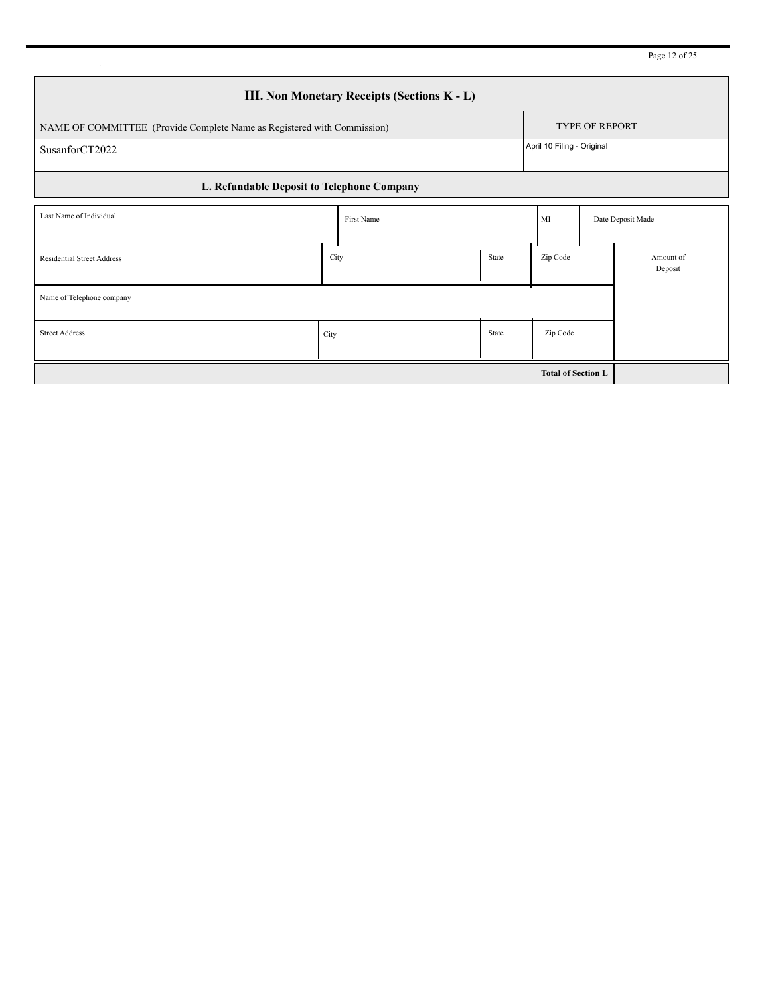|  |  | Page 12 of 25 |  |
|--|--|---------------|--|
|--|--|---------------|--|

| <b>III. Non Monetary Receipts (Sections K - L)</b> |                                                                                                  |               |  |                            |  |                      |  |  |  |
|----------------------------------------------------|--------------------------------------------------------------------------------------------------|---------------|--|----------------------------|--|----------------------|--|--|--|
|                                                    | <b>TYPE OF REPORT</b><br>NAME OF COMMITTEE (Provide Complete Name as Registered with Commission) |               |  |                            |  |                      |  |  |  |
| SusanforCT2022                                     |                                                                                                  |               |  | April 10 Filing - Original |  |                      |  |  |  |
| L. Refundable Deposit to Telephone Company         |                                                                                                  |               |  |                            |  |                      |  |  |  |
| Last Name of Individual                            |                                                                                                  | First Name    |  | MI                         |  | Date Deposit Made    |  |  |  |
| <b>Residential Street Address</b>                  |                                                                                                  | City<br>State |  |                            |  | Amount of<br>Deposit |  |  |  |
| Name of Telephone company                          |                                                                                                  |               |  |                            |  |                      |  |  |  |
| <b>Street Address</b>                              | State<br>City                                                                                    |               |  | Zip Code                   |  |                      |  |  |  |
|                                                    |                                                                                                  |               |  |                            |  |                      |  |  |  |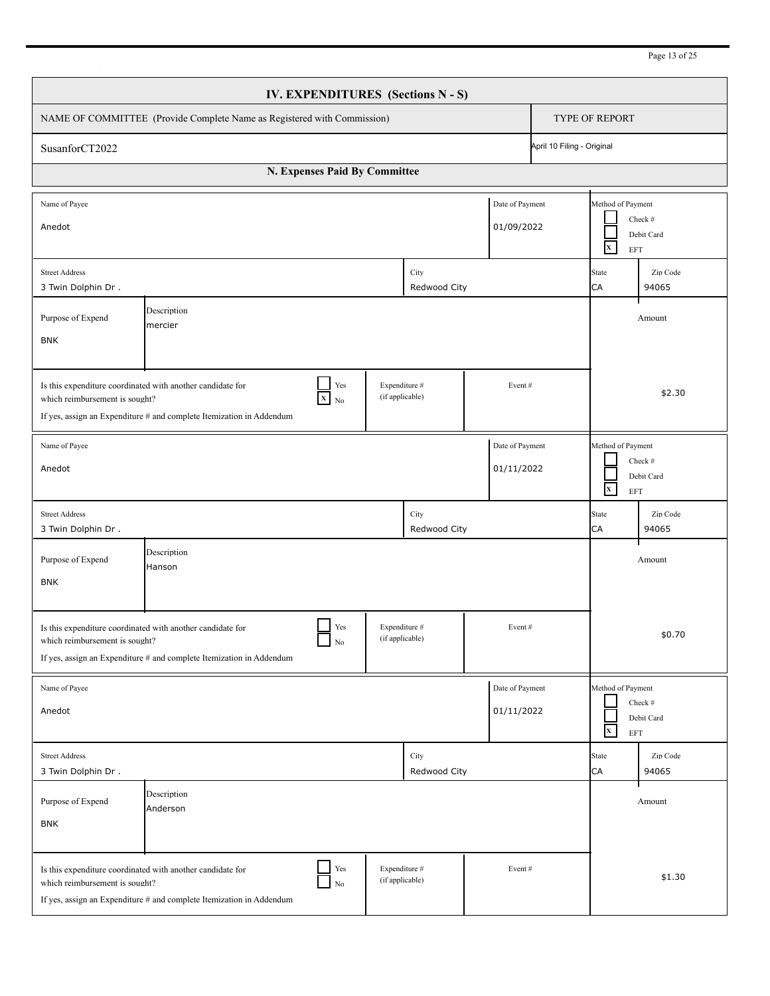| IV. EXPENDITURES (Sections N - S)                                                                                                                                    |                                                                                                                                                          |                                  |        |                                         |  |  |  |  |  |
|----------------------------------------------------------------------------------------------------------------------------------------------------------------------|----------------------------------------------------------------------------------------------------------------------------------------------------------|----------------------------------|--------|-----------------------------------------|--|--|--|--|--|
| NAME OF COMMITTEE (Provide Complete Name as Registered with Commission)                                                                                              | <b>TYPE OF REPORT</b>                                                                                                                                    |                                  |        |                                         |  |  |  |  |  |
| SusanforCT2022                                                                                                                                                       | April 10 Filing - Original                                                                                                                               |                                  |        |                                         |  |  |  |  |  |
| N. Expenses Paid By Committee                                                                                                                                        |                                                                                                                                                          |                                  |        |                                         |  |  |  |  |  |
| Name of Payee<br>Anedot                                                                                                                                              | Method of Payment<br>Check #<br>Debit Card<br>$\mathbf{x}$<br><b>EFT</b>                                                                                 |                                  |        |                                         |  |  |  |  |  |
| <b>Street Address</b><br>3 Twin Dolphin Dr.                                                                                                                          |                                                                                                                                                          | City<br>Redwood City             |        | State<br>Zip Code<br>CA<br>94065        |  |  |  |  |  |
| Purpose of Expend<br><b>BNK</b>                                                                                                                                      | Amount                                                                                                                                                   |                                  |        |                                         |  |  |  |  |  |
| Is this expenditure coordinated with another candidate for<br>which reimbursement is sought?<br>If yes, assign an Expenditure # and complete Itemization in Addendum | \$2.30                                                                                                                                                   |                                  |        |                                         |  |  |  |  |  |
| Name of Payee<br>Anedot                                                                                                                                              | Method of Payment<br>Check #<br>Debit Card<br>$\mathbf{x}^-$<br><b>EFT</b>                                                                               |                                  |        |                                         |  |  |  |  |  |
| <b>Street Address</b><br>3 Twin Dolphin Dr.                                                                                                                          |                                                                                                                                                          | City<br>Redwood City             |        | State<br>Zip Code<br><b>CA</b><br>94065 |  |  |  |  |  |
| Description<br>Purpose of Expend<br>Amount<br>Hanson<br><b>BNK</b>                                                                                                   |                                                                                                                                                          |                                  |        |                                         |  |  |  |  |  |
| Is this expenditure coordinated with another candidate for<br>which reimbursement is sought?<br>If yes, assign an Expenditure # and complete Itemization in Addendum | \$0.70                                                                                                                                                   |                                  |        |                                         |  |  |  |  |  |
| Name of Payee<br>Anedot                                                                                                                                              | Method of Payment<br>Check #<br>Debit Card<br>$\mathbf{x}$<br>EFT                                                                                        |                                  |        |                                         |  |  |  |  |  |
| <b>Street Address</b><br>3 Twin Dolphin Dr.                                                                                                                          |                                                                                                                                                          | City<br>Redwood City             |        | Zip Code<br>State<br>CA<br>94065        |  |  |  |  |  |
| Purpose of Expend<br><b>BNK</b>                                                                                                                                      | Description<br>Anderson                                                                                                                                  |                                  |        | Amount                                  |  |  |  |  |  |
| which reimbursement is sought?                                                                                                                                       | Yes<br>Is this expenditure coordinated with another candidate for<br>$_{\rm No}$<br>If yes, assign an Expenditure # and complete Itemization in Addendum | Expenditure #<br>(if applicable) | Event# | \$1.30                                  |  |  |  |  |  |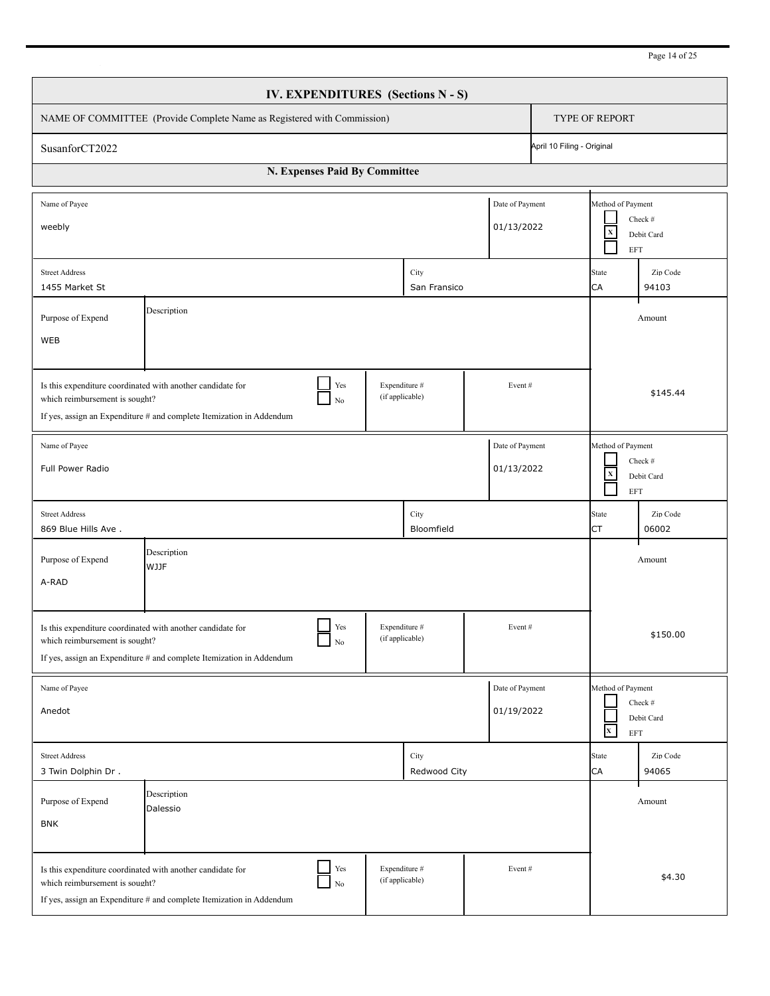| <b>IV. EXPENDITURES</b> (Sections N - S)                                                                                                                             |                                                                                                                                                          |                                  |                               |                                                                         |  |  |  |  |
|----------------------------------------------------------------------------------------------------------------------------------------------------------------------|----------------------------------------------------------------------------------------------------------------------------------------------------------|----------------------------------|-------------------------------|-------------------------------------------------------------------------|--|--|--|--|
| NAME OF COMMITTEE (Provide Complete Name as Registered with Commission)                                                                                              | <b>TYPE OF REPORT</b>                                                                                                                                    |                                  |                               |                                                                         |  |  |  |  |
| SusanforCT2022                                                                                                                                                       | April 10 Filing - Original                                                                                                                               |                                  |                               |                                                                         |  |  |  |  |
|                                                                                                                                                                      | N. Expenses Paid By Committee                                                                                                                            |                                  |                               |                                                                         |  |  |  |  |
| Name of Payee<br>weebly                                                                                                                                              |                                                                                                                                                          |                                  | Date of Payment<br>01/13/2022 | Method of Payment<br>Check #<br>$\mathbf x$<br>Debit Card<br><b>EFT</b> |  |  |  |  |
| <b>Street Address</b><br>1455 Market St                                                                                                                              | State<br>Zip Code<br>CA<br>94103                                                                                                                         |                                  |                               |                                                                         |  |  |  |  |
| Purpose of Expend<br>WEB                                                                                                                                             | Description                                                                                                                                              |                                  |                               | Amount                                                                  |  |  |  |  |
| Is this expenditure coordinated with another candidate for<br>which reimbursement is sought?<br>If yes, assign an Expenditure # and complete Itemization in Addendum | \$145.44                                                                                                                                                 |                                  |                               |                                                                         |  |  |  |  |
| Name of Payee<br>Full Power Radio                                                                                                                                    | Method of Payment<br>Check #<br>$\mathbf x$<br>Debit Card<br><b>EFT</b>                                                                                  |                                  |                               |                                                                         |  |  |  |  |
| <b>Street Address</b><br>869 Blue Hills Ave.                                                                                                                         |                                                                                                                                                          | City<br>Bloomfield               |                               | State<br>Zip Code<br>06002<br>СT                                        |  |  |  |  |
| Description<br>Purpose of Expend<br>Amount<br><b>WJJF</b><br>A-RAD                                                                                                   |                                                                                                                                                          |                                  |                               |                                                                         |  |  |  |  |
| Is this expenditure coordinated with another candidate for<br>which reimbursement is sought?<br>If yes, assign an Expenditure # and complete Itemization in Addendum | \$150.00                                                                                                                                                 |                                  |                               |                                                                         |  |  |  |  |
| Name of Payee<br>Anedot                                                                                                                                              |                                                                                                                                                          |                                  | Date of Payment<br>01/19/2022 | Method of Payment<br>Check #<br>Debit Card<br>$\mathbf{x}$<br>EFT       |  |  |  |  |
| <b>Street Address</b><br>3 Twin Dolphin Dr.                                                                                                                          |                                                                                                                                                          | City<br>Redwood City             |                               | Zip Code<br>State<br>CA<br>94065                                        |  |  |  |  |
| Purpose of Expend<br><b>BNK</b>                                                                                                                                      | Description<br>Dalessio                                                                                                                                  |                                  |                               | Amount                                                                  |  |  |  |  |
| which reimbursement is sought?                                                                                                                                       | Yes<br>Is this expenditure coordinated with another candidate for<br>$_{\rm No}$<br>If yes, assign an Expenditure # and complete Itemization in Addendum | Expenditure #<br>(if applicable) | Event#                        | \$4.30                                                                  |  |  |  |  |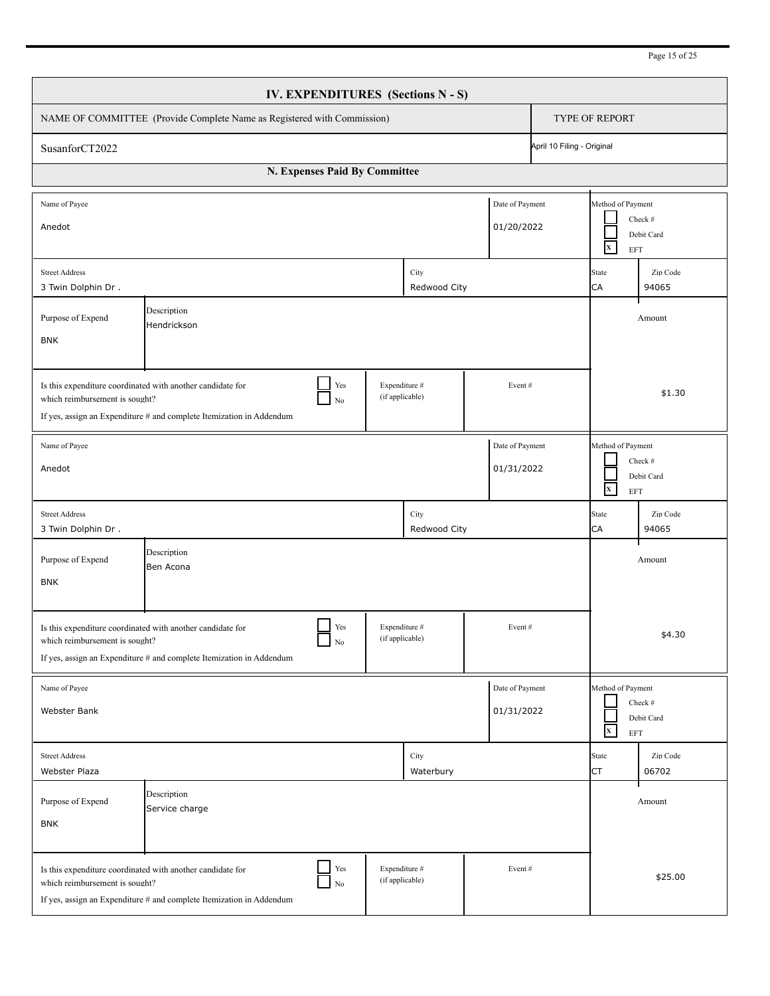| Page 15 of 25 |  |
|---------------|--|
|               |  |

| IV. EXPENDITURES (Sections N - S)                                                                                                                                                                                                     |                                                                                                                                                          |                                  |                      |                               |                                                   |                                                   |                       |
|---------------------------------------------------------------------------------------------------------------------------------------------------------------------------------------------------------------------------------------|----------------------------------------------------------------------------------------------------------------------------------------------------------|----------------------------------|----------------------|-------------------------------|---------------------------------------------------|---------------------------------------------------|-----------------------|
| NAME OF COMMITTEE (Provide Complete Name as Registered with Commission)                                                                                                                                                               |                                                                                                                                                          |                                  |                      |                               |                                                   | <b>TYPE OF REPORT</b>                             |                       |
| April 10 Filing - Original<br>SusanforCT2022                                                                                                                                                                                          |                                                                                                                                                          |                                  |                      |                               |                                                   |                                                   |                       |
|                                                                                                                                                                                                                                       | N. Expenses Paid By Committee                                                                                                                            |                                  |                      |                               |                                                   |                                                   |                       |
| Name of Payee<br>Anedot                                                                                                                                                                                                               |                                                                                                                                                          |                                  |                      | Date of Payment<br>01/20/2022 |                                                   | Method of Payment<br>$\mathbf{x}^-$<br><b>EFT</b> | Check #<br>Debit Card |
| City<br><b>Street Address</b><br>3 Twin Dolphin Dr.<br>Redwood City                                                                                                                                                                   |                                                                                                                                                          |                                  |                      |                               | State<br><b>CA</b>                                | Zip Code<br>94065                                 |                       |
| Description<br>Purpose of Expend<br>Hendrickson<br><b>BNK</b>                                                                                                                                                                         |                                                                                                                                                          |                                  |                      |                               |                                                   |                                                   | Amount                |
| Is this expenditure coordinated with another candidate for<br>Yes<br>Expenditure #<br>Event#<br>(if applicable)<br>which reimbursement is sought?<br>$\rm No$<br>If yes, assign an Expenditure # and complete Itemization in Addendum |                                                                                                                                                          |                                  |                      |                               |                                                   | \$1.30                                            |                       |
| Name of Payee<br>Date of Payment<br>01/31/2022<br>Anedot                                                                                                                                                                              |                                                                                                                                                          |                                  |                      |                               | Method of Payment<br>$\mathbf{x}^-$<br><b>EFT</b> | Check #<br>Debit Card                             |                       |
| <b>Street Address</b><br>3 Twin Dolphin Dr.                                                                                                                                                                                           |                                                                                                                                                          |                                  | City<br>Redwood City |                               |                                                   | State<br>CA                                       | Zip Code<br>94065     |
| Purpose of Expend<br><b>BNK</b>                                                                                                                                                                                                       | Description<br>Ben Acona                                                                                                                                 |                                  |                      |                               |                                                   |                                                   | Amount                |
| Yes<br>Expenditure #<br>Event#<br>Is this expenditure coordinated with another candidate for<br>(if applicable)<br>which reimbursement is sought?<br>$\rm No$<br>If yes, assign an Expenditure # and complete Itemization in Addendum |                                                                                                                                                          |                                  |                      |                               |                                                   |                                                   | \$4.30                |
| Date of Payment<br>Name of Payee<br>Webster Bank<br>01/31/2022                                                                                                                                                                        |                                                                                                                                                          |                                  |                      |                               | Method of Payment<br>$\mathbf{x}^-$<br>EFT        | Check #<br>Debit Card                             |                       |
| <b>Street Address</b><br>Webster Plaza                                                                                                                                                                                                |                                                                                                                                                          |                                  | City<br>Waterbury    |                               |                                                   | State<br>CT                                       | Zip Code<br>06702     |
| Purpose of Expend<br><b>BNK</b>                                                                                                                                                                                                       | Description<br>Service charge                                                                                                                            |                                  |                      |                               |                                                   |                                                   | Amount                |
| which reimbursement is sought?                                                                                                                                                                                                        | Yes<br>Is this expenditure coordinated with another candidate for<br>$_{\rm No}$<br>If yes, assign an Expenditure # and complete Itemization in Addendum | Expenditure #<br>(if applicable) |                      | Event#                        |                                                   |                                                   | \$25.00               |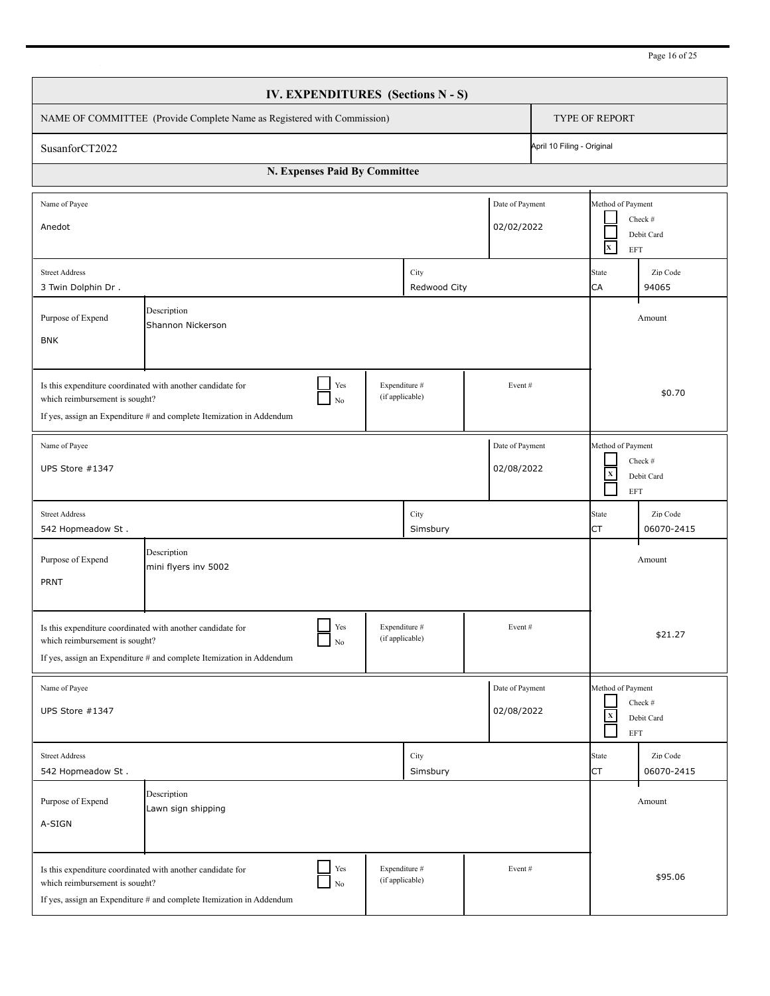| IV. EXPENDITURES (Sections N - S)                                                                                                                                                                                                     |                                                                                                                                                          |                                  |                  |        |                                                                   |                           |                        |  |
|---------------------------------------------------------------------------------------------------------------------------------------------------------------------------------------------------------------------------------------|----------------------------------------------------------------------------------------------------------------------------------------------------------|----------------------------------|------------------|--------|-------------------------------------------------------------------|---------------------------|------------------------|--|
| NAME OF COMMITTEE (Provide Complete Name as Registered with Commission)                                                                                                                                                               |                                                                                                                                                          |                                  |                  |        |                                                                   | TYPE OF REPORT            |                        |  |
| April 10 Filing - Original<br>SusanforCT2022                                                                                                                                                                                          |                                                                                                                                                          |                                  |                  |        |                                                                   |                           |                        |  |
|                                                                                                                                                                                                                                       | N. Expenses Paid By Committee                                                                                                                            |                                  |                  |        |                                                                   |                           |                        |  |
| Name of Payee<br>Date of Payment<br>02/02/2022<br>Anedot                                                                                                                                                                              |                                                                                                                                                          |                                  |                  |        | Method of Payment<br>Check #<br>Debit Card<br>$\mathbf{x}$<br>EFT |                           |                        |  |
| City<br><b>Street Address</b><br>3 Twin Dolphin Dr.<br>Redwood City                                                                                                                                                                   |                                                                                                                                                          |                                  |                  |        | <b>State</b><br>CA                                                | Zip Code<br>94065         |                        |  |
| Description<br>Purpose of Expend<br>Shannon Nickerson<br><b>BNK</b>                                                                                                                                                                   |                                                                                                                                                          |                                  |                  |        |                                                                   |                           | Amount                 |  |
| Yes<br>Expenditure #<br>Is this expenditure coordinated with another candidate for<br>Event#<br>(if applicable)<br>which reimbursement is sought?<br>No<br>If yes, assign an Expenditure # and complete Itemization in Addendum       |                                                                                                                                                          |                                  |                  |        |                                                                   |                           | \$0.70                 |  |
| Date of Payment<br>Name of Payee<br>02/08/2022<br>UPS Store #1347                                                                                                                                                                     |                                                                                                                                                          |                                  |                  |        | Method of Payment<br>$\mathbf X$<br><b>EFT</b>                    | Check #<br>Debit Card     |                        |  |
| <b>Street Address</b><br>542 Hopmeadow St.                                                                                                                                                                                            |                                                                                                                                                          |                                  | City<br>Simsbury |        |                                                                   | <b>State</b><br>CT        | Zip Code<br>06070-2415 |  |
| Description<br>Purpose of Expend<br>Amount<br>mini flyers inv 5002<br>PRNT                                                                                                                                                            |                                                                                                                                                          |                                  |                  |        |                                                                   |                           |                        |  |
| Yes<br>Expenditure #<br>Event#<br>Is this expenditure coordinated with another candidate for<br>(if applicable)<br>which reimbursement is sought?<br>$\rm No$<br>If yes, assign an Expenditure # and complete Itemization in Addendum |                                                                                                                                                          |                                  |                  |        |                                                                   |                           | \$21.27                |  |
| Date of Payment<br>Name of Payee<br>02/08/2022<br>UPS Store #1347                                                                                                                                                                     |                                                                                                                                                          |                                  |                  |        | Method of Payment<br>$\mathbf x$<br>$\operatorname{EFT}$          | Check #<br>Debit Card     |                        |  |
| <b>Street Address</b><br>542 Hopmeadow St.                                                                                                                                                                                            |                                                                                                                                                          |                                  | City<br>Simsbury |        |                                                                   | <b>State</b><br><b>CT</b> | Zip Code<br>06070-2415 |  |
| Purpose of Expend<br>A-SIGN                                                                                                                                                                                                           | Description<br>Lawn sign shipping                                                                                                                        |                                  |                  |        |                                                                   |                           | Amount                 |  |
| which reimbursement is sought?                                                                                                                                                                                                        | Yes<br>Is this expenditure coordinated with another candidate for<br>$_{\rm No}$<br>If yes, assign an Expenditure # and complete Itemization in Addendum | Expenditure #<br>(if applicable) |                  | Event# |                                                                   |                           | \$95.06                |  |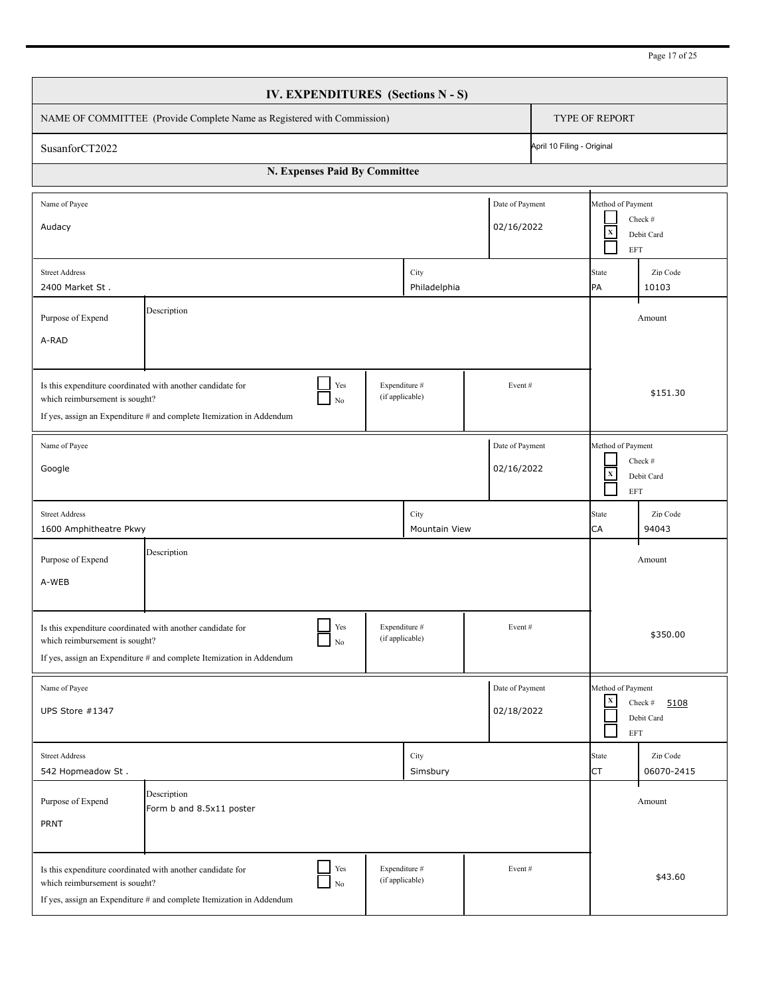| Page 17 of 2: |  |
|---------------|--|
|---------------|--|

| IV. EXPENDITURES (Sections N - S)                                                                                                                                                                                                     |                                                                                                                                                          |                                  |                       |                    |                                                                         |                                         |                               |  |  |
|---------------------------------------------------------------------------------------------------------------------------------------------------------------------------------------------------------------------------------------|----------------------------------------------------------------------------------------------------------------------------------------------------------|----------------------------------|-----------------------|--------------------|-------------------------------------------------------------------------|-----------------------------------------|-------------------------------|--|--|
| NAME OF COMMITTEE (Provide Complete Name as Registered with Commission)                                                                                                                                                               |                                                                                                                                                          |                                  |                       |                    |                                                                         | TYPE OF REPORT                          |                               |  |  |
| April 10 Filing - Original<br>SusanforCT2022                                                                                                                                                                                          |                                                                                                                                                          |                                  |                       |                    |                                                                         |                                         |                               |  |  |
|                                                                                                                                                                                                                                       | N. Expenses Paid By Committee                                                                                                                            |                                  |                       |                    |                                                                         |                                         |                               |  |  |
| Name of Payee<br>Date of Payment<br>02/16/2022<br>Audacy                                                                                                                                                                              |                                                                                                                                                          |                                  |                       |                    | Method of Payment<br>Check #<br>$\mathbf X$<br>Debit Card<br>EFT        |                                         |                               |  |  |
| City<br><b>Street Address</b><br>2400 Market St.<br>Philadelphia                                                                                                                                                                      |                                                                                                                                                          |                                  |                       | <b>State</b><br>PA | Zip Code<br>10103                                                       |                                         |                               |  |  |
| Description<br>Purpose of Expend<br>A-RAD                                                                                                                                                                                             |                                                                                                                                                          |                                  |                       |                    |                                                                         |                                         | Amount                        |  |  |
| Yes<br>Expenditure #<br>Is this expenditure coordinated with another candidate for<br>Event#<br>(if applicable)<br>which reimbursement is sought?<br>$\rm No$<br>If yes, assign an Expenditure # and complete Itemization in Addendum |                                                                                                                                                          |                                  |                       |                    |                                                                         |                                         | \$151.30                      |  |  |
| Date of Payment<br>Name of Payee<br>02/16/2022<br>Google                                                                                                                                                                              |                                                                                                                                                          |                                  |                       |                    | Method of Payment<br>Check #<br>$\mathbf X$<br>Debit Card<br><b>EFT</b> |                                         |                               |  |  |
| <b>Street Address</b><br>1600 Amphitheatre Pkwy                                                                                                                                                                                       |                                                                                                                                                          |                                  | City<br>Mountain View |                    |                                                                         | <b>State</b><br>CA                      | Zip Code<br>94043             |  |  |
| Description<br>Purpose of Expend<br>Amount<br>A-WEB                                                                                                                                                                                   |                                                                                                                                                          |                                  |                       |                    |                                                                         |                                         |                               |  |  |
| Yes<br>Expenditure #<br>Event#<br>Is this expenditure coordinated with another candidate for<br>(if applicable)<br>which reimbursement is sought?<br>$\rm No$<br>If yes, assign an Expenditure # and complete Itemization in Addendum |                                                                                                                                                          |                                  |                       |                    |                                                                         |                                         | \$350.00                      |  |  |
| Date of Payment<br>Name of Payee<br>02/18/2022<br>UPS Store #1347                                                                                                                                                                     |                                                                                                                                                          |                                  |                       |                    |                                                                         | Method of Payment<br>$\mathbf x$<br>EFT | Check #<br>5108<br>Debit Card |  |  |
| <b>Street Address</b><br>542 Hopmeadow St.                                                                                                                                                                                            |                                                                                                                                                          |                                  | City<br>Simsbury      |                    |                                                                         | State<br><b>CT</b>                      | Zip Code<br>06070-2415        |  |  |
| Purpose of Expend<br><b>PRNT</b>                                                                                                                                                                                                      | Description<br>Form b and 8.5x11 poster                                                                                                                  |                                  |                       |                    |                                                                         |                                         | Amount                        |  |  |
| which reimbursement is sought?                                                                                                                                                                                                        | Yes<br>Is this expenditure coordinated with another candidate for<br>$_{\rm No}$<br>If yes, assign an Expenditure # and complete Itemization in Addendum | Expenditure #<br>(if applicable) |                       | Event#             |                                                                         |                                         | \$43.60                       |  |  |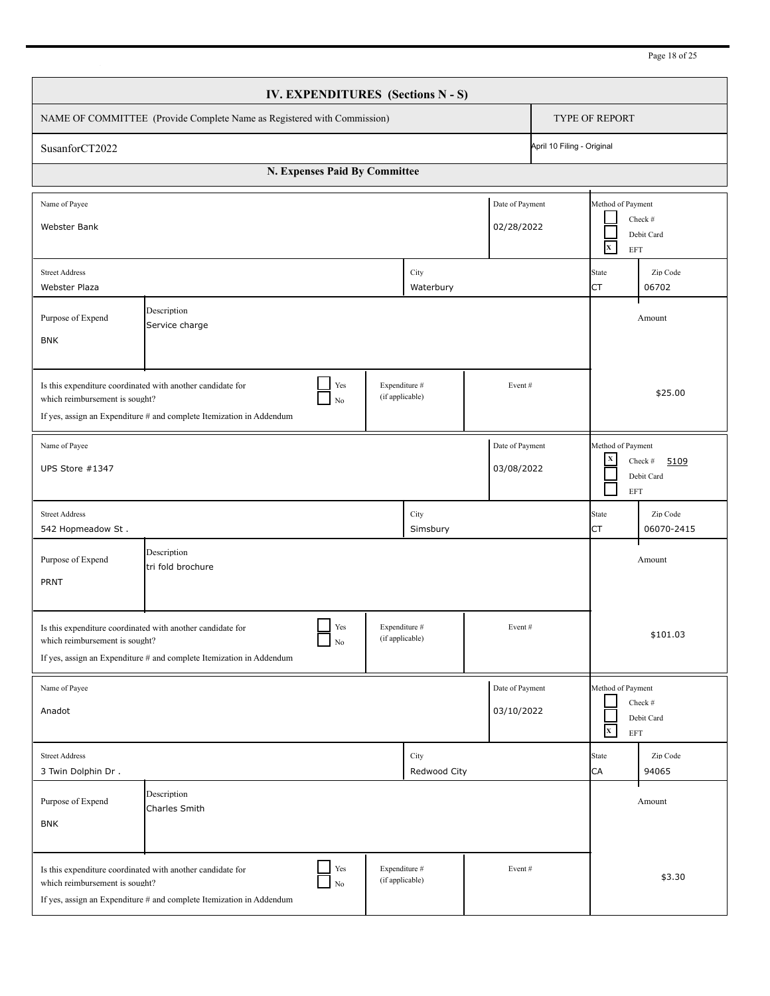| Page 18 of 25 |  |
|---------------|--|
|---------------|--|

| <b>IV. EXPENDITURES</b> (Sections N - S)                                                                                                                                                                                              |                                                                                                                                                          |                                  |                      |                               |             |                                                             |                               |
|---------------------------------------------------------------------------------------------------------------------------------------------------------------------------------------------------------------------------------------|----------------------------------------------------------------------------------------------------------------------------------------------------------|----------------------------------|----------------------|-------------------------------|-------------|-------------------------------------------------------------|-------------------------------|
| NAME OF COMMITTEE (Provide Complete Name as Registered with Commission)                                                                                                                                                               |                                                                                                                                                          |                                  |                      |                               |             | <b>TYPE OF REPORT</b>                                       |                               |
| April 10 Filing - Original<br>SusanforCT2022                                                                                                                                                                                          |                                                                                                                                                          |                                  |                      |                               |             |                                                             |                               |
|                                                                                                                                                                                                                                       | N. Expenses Paid By Committee                                                                                                                            |                                  |                      |                               |             |                                                             |                               |
| Name of Payee<br><b>Webster Bank</b>                                                                                                                                                                                                  |                                                                                                                                                          |                                  |                      | Date of Payment<br>02/28/2022 |             | Method of Payment<br>$\mathbf{x}^-$<br><b>EFT</b>           | Check #<br>Debit Card         |
| <b>Street Address</b><br>City<br><b>Webster Plaza</b><br>Waterbury                                                                                                                                                                    |                                                                                                                                                          |                                  |                      |                               | State<br>СT | Zip Code<br>06702                                           |                               |
| Description<br>Purpose of Expend<br>Service charge<br><b>BNK</b>                                                                                                                                                                      |                                                                                                                                                          |                                  |                      |                               |             |                                                             | Amount                        |
| Is this expenditure coordinated with another candidate for<br>Yes<br>Expenditure #<br>Event#<br>(if applicable)<br>which reimbursement is sought?<br>$\rm No$<br>If yes, assign an Expenditure # and complete Itemization in Addendum |                                                                                                                                                          |                                  |                      |                               |             |                                                             | \$25.00                       |
| Date of Payment<br>Name of Payee<br>03/08/2022<br>UPS Store #1347                                                                                                                                                                     |                                                                                                                                                          |                                  |                      |                               |             | Method of Payment<br>$\mathbf x$<br><b>EFT</b>              | Check #<br>5109<br>Debit Card |
| <b>Street Address</b><br>542 Hopmeadow St.                                                                                                                                                                                            |                                                                                                                                                          |                                  | City<br>Simsbury     |                               |             | State<br>СT                                                 | Zip Code<br>06070-2415        |
| Purpose of Expend<br>PRNT                                                                                                                                                                                                             | Description<br>tri fold brochure                                                                                                                         |                                  |                      |                               |             |                                                             | Amount                        |
| Yes<br>Expenditure #<br>Event#<br>Is this expenditure coordinated with another candidate for<br>(if applicable)<br>which reimbursement is sought?<br>$\rm No$<br>If yes, assign an Expenditure # and complete Itemization in Addendum |                                                                                                                                                          |                                  |                      |                               |             |                                                             | \$101.03                      |
| Name of Payee<br>Anadot                                                                                                                                                                                                               |                                                                                                                                                          |                                  |                      | Date of Payment<br>03/10/2022 |             | Method of Payment<br>$\mathbf{x}^-$<br>$\operatorname{EFT}$ | Check #<br>Debit Card         |
| <b>Street Address</b><br>3 Twin Dolphin Dr.                                                                                                                                                                                           |                                                                                                                                                          |                                  | City<br>Redwood City |                               |             | State<br>CA                                                 | Zip Code<br>94065             |
| Purpose of Expend<br><b>BNK</b>                                                                                                                                                                                                       | Description<br>Charles Smith                                                                                                                             |                                  |                      |                               |             |                                                             | Amount                        |
| which reimbursement is sought?                                                                                                                                                                                                        | Yes<br>Is this expenditure coordinated with another candidate for<br>$_{\rm No}$<br>If yes, assign an Expenditure # and complete Itemization in Addendum | Expenditure #<br>(if applicable) |                      | Event#                        |             |                                                             | \$3.30                        |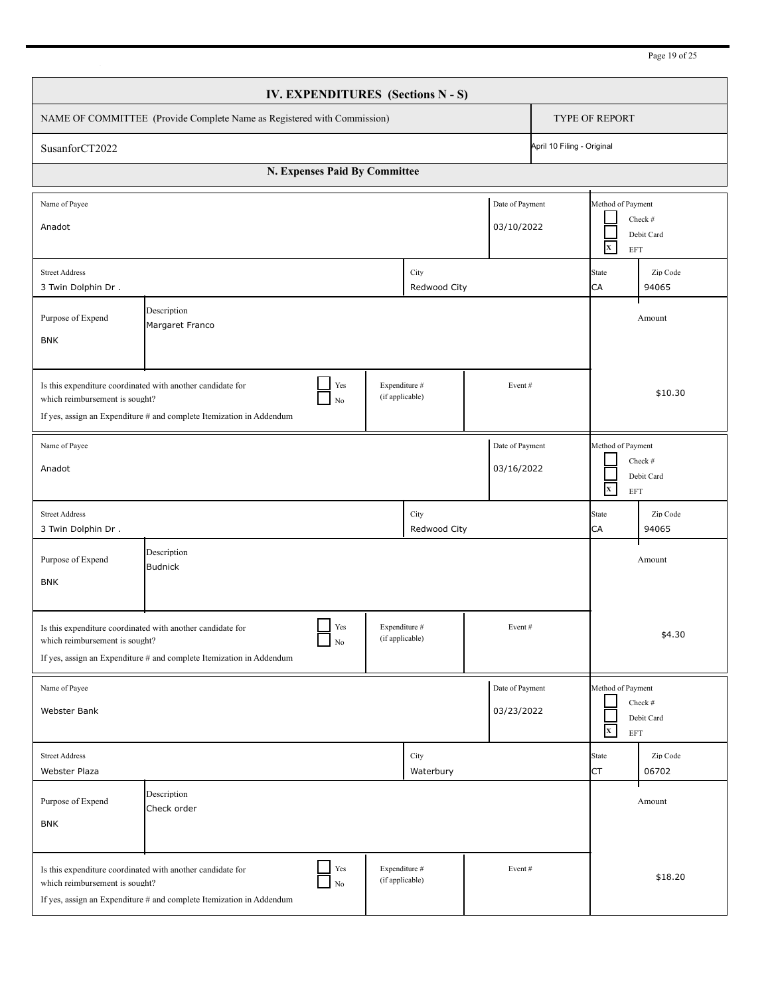| Page 19 of 25 |  |  |  |
|---------------|--|--|--|
|---------------|--|--|--|

| <b>IV. EXPENDITURES</b> (Sections N - S)                                                                                                                             |                                                                                                                                                          |                                  |                               |                                                                              |  |  |  |  |
|----------------------------------------------------------------------------------------------------------------------------------------------------------------------|----------------------------------------------------------------------------------------------------------------------------------------------------------|----------------------------------|-------------------------------|------------------------------------------------------------------------------|--|--|--|--|
| NAME OF COMMITTEE (Provide Complete Name as Registered with Commission)                                                                                              | <b>TYPE OF REPORT</b>                                                                                                                                    |                                  |                               |                                                                              |  |  |  |  |
| SusanforCT2022                                                                                                                                                       | April 10 Filing - Original                                                                                                                               |                                  |                               |                                                                              |  |  |  |  |
|                                                                                                                                                                      | N. Expenses Paid By Committee                                                                                                                            |                                  |                               |                                                                              |  |  |  |  |
| Name of Payee<br>Anadot                                                                                                                                              |                                                                                                                                                          |                                  | Date of Payment<br>03/10/2022 | Method of Payment<br>Check #<br>Debit Card<br>$\mathbf{x}$<br><b>EFT</b>     |  |  |  |  |
| <b>Street Address</b><br>City<br>3 Twin Dolphin Dr.<br>Redwood City                                                                                                  |                                                                                                                                                          |                                  |                               | State<br>Zip Code<br>CA<br>94065                                             |  |  |  |  |
| Purpose of Expend<br><b>BNK</b>                                                                                                                                      | Amount                                                                                                                                                   |                                  |                               |                                                                              |  |  |  |  |
| Is this expenditure coordinated with another candidate for<br>which reimbursement is sought?<br>If yes, assign an Expenditure # and complete Itemization in Addendum | \$10.30                                                                                                                                                  |                                  |                               |                                                                              |  |  |  |  |
| Name of Payee<br>Anadot                                                                                                                                              | Method of Payment<br>Check #<br>Debit Card<br>$\mathbf{x}^-$<br><b>EFT</b>                                                                               |                                  |                               |                                                                              |  |  |  |  |
| <b>Street Address</b><br>3 Twin Dolphin Dr.                                                                                                                          |                                                                                                                                                          | City<br>Redwood City             |                               | State<br>Zip Code<br><b>CA</b><br>94065                                      |  |  |  |  |
| Purpose of Expend<br><b>BNK</b>                                                                                                                                      | Description<br><b>Budnick</b>                                                                                                                            |                                  |                               | Amount                                                                       |  |  |  |  |
| Is this expenditure coordinated with another candidate for<br>which reimbursement is sought?<br>If yes, assign an Expenditure # and complete Itemization in Addendum | \$4.30                                                                                                                                                   |                                  |                               |                                                                              |  |  |  |  |
| Name of Payee<br>Webster Bank                                                                                                                                        |                                                                                                                                                          |                                  | Date of Payment<br>03/23/2022 | Method of Payment<br>Check #<br>Debit Card<br>$\overline{\mathbf{x}}$<br>EFT |  |  |  |  |
| <b>Street Address</b><br>Webster Plaza                                                                                                                               |                                                                                                                                                          | City<br>Waterbury                |                               | Zip Code<br>State<br>CT<br>06702                                             |  |  |  |  |
| Purpose of Expend<br><b>BNK</b>                                                                                                                                      | Description<br>Check order                                                                                                                               |                                  |                               | Amount                                                                       |  |  |  |  |
| which reimbursement is sought?                                                                                                                                       | Yes<br>Is this expenditure coordinated with another candidate for<br>$_{\rm No}$<br>If yes, assign an Expenditure # and complete Itemization in Addendum | Expenditure #<br>(if applicable) | Event#                        | \$18.20                                                                      |  |  |  |  |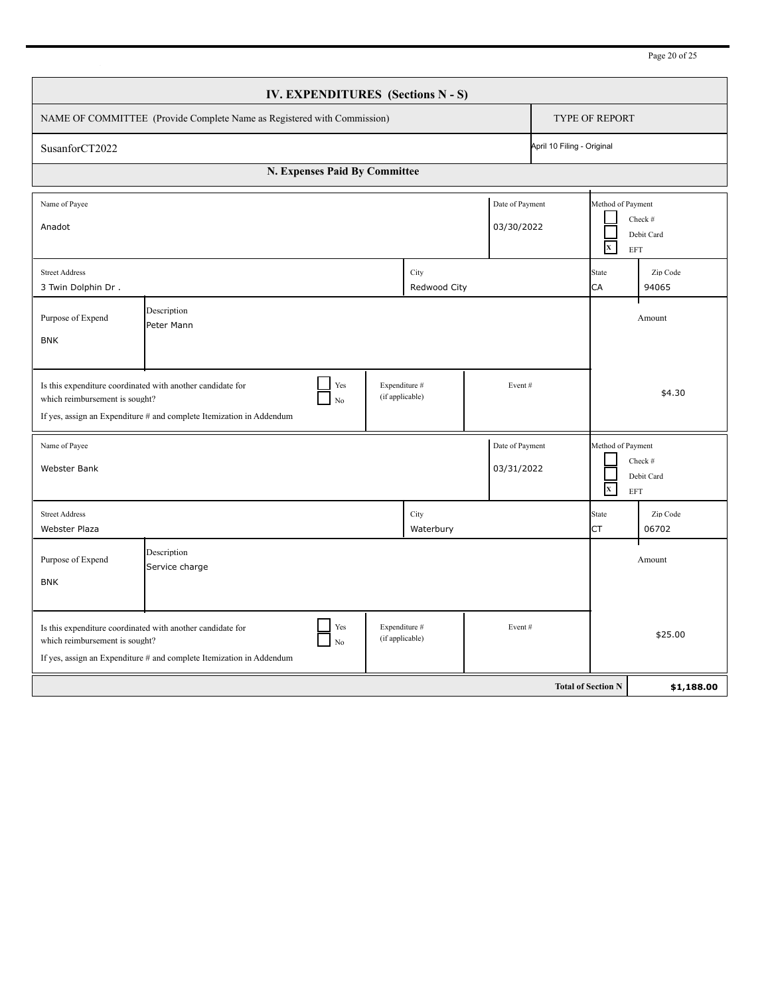|                                                                                                                                                                                                                                 | IV. EXPENDITURES (Sections N - S)                                                                                                               |                                  |                               |                           |                                                   |  |  |
|---------------------------------------------------------------------------------------------------------------------------------------------------------------------------------------------------------------------------------|-------------------------------------------------------------------------------------------------------------------------------------------------|----------------------------------|-------------------------------|---------------------------|---------------------------------------------------|--|--|
| NAME OF COMMITTEE (Provide Complete Name as Registered with Commission)                                                                                                                                                         |                                                                                                                                                 |                                  |                               |                           | <b>TYPE OF REPORT</b>                             |  |  |
| April 10 Filing - Original<br>SusanforCT2022                                                                                                                                                                                    |                                                                                                                                                 |                                  |                               |                           |                                                   |  |  |
|                                                                                                                                                                                                                                 |                                                                                                                                                 |                                  |                               |                           |                                                   |  |  |
| Name of Payee<br>Anadot                                                                                                                                                                                                         |                                                                                                                                                 |                                  | Date of Payment<br>03/30/2022 | $\mathbf{x}$              | Method of Payment<br>Check #<br>Debit Card<br>EFT |  |  |
| <b>Street Address</b><br>3 Twin Dolphin Dr.                                                                                                                                                                                     | City<br>Redwood City                                                                                                                            |                                  |                               |                           | Zip Code<br>94065                                 |  |  |
| Purpose of Expend<br><b>BNK</b>                                                                                                                                                                                                 | Description<br>Peter Mann                                                                                                                       |                                  |                               |                           | Amount                                            |  |  |
| Expenditure #<br>Yes<br>Is this expenditure coordinated with another candidate for<br>Event#<br>(if applicable)<br>which reimbursement is sought?<br>No<br>If yes, assign an Expenditure # and complete Itemization in Addendum |                                                                                                                                                 |                                  |                               |                           | \$4.30                                            |  |  |
| Name of Payee<br>Webster Bank                                                                                                                                                                                                   |                                                                                                                                                 |                                  | Date of Payment<br>03/31/2022 | $\mathbf{x}$              | Method of Payment<br>Check #<br>Debit Card<br>EFT |  |  |
| <b>Street Address</b><br><b>Webster Plaza</b>                                                                                                                                                                                   |                                                                                                                                                 | City<br>Waterbury                |                               | <b>State</b><br><b>CT</b> | Zip Code<br>06702                                 |  |  |
| Purpose of Expend<br><b>BNK</b>                                                                                                                                                                                                 | Description<br>Service charge                                                                                                                   |                                  |                               |                           | Amount                                            |  |  |
| which reimbursement is sought?                                                                                                                                                                                                  | Yes<br>Is this expenditure coordinated with another candidate for<br>No<br>If yes, assign an Expenditure # and complete Itemization in Addendum | Expenditure #<br>(if applicable) | Event#                        |                           | \$25.00                                           |  |  |
|                                                                                                                                                                                                                                 |                                                                                                                                                 |                                  |                               | <b>Total of Section N</b> | \$1,188.00                                        |  |  |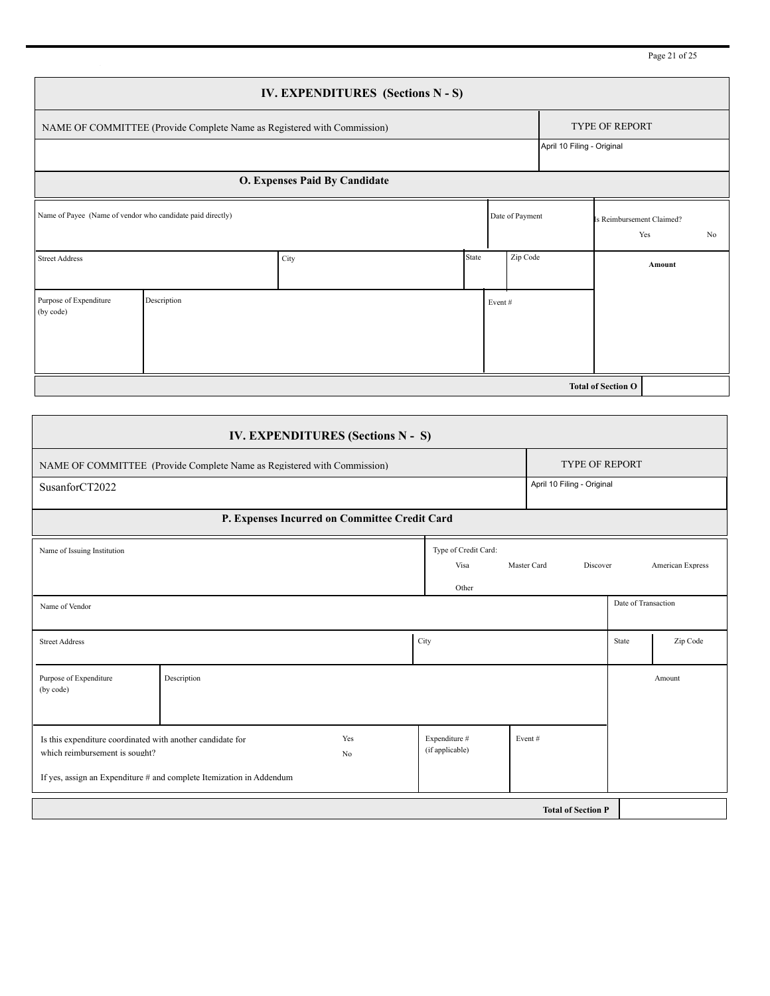Page 21 of 25

|                                                                                              |                                                                         |                                                                         |                               | <b>IV. EXPENDITURES</b> (Sections N - S)      |      |                                       |                |                 |                            |                       |                                        |                  |  |
|----------------------------------------------------------------------------------------------|-------------------------------------------------------------------------|-------------------------------------------------------------------------|-------------------------------|-----------------------------------------------|------|---------------------------------------|----------------|-----------------|----------------------------|-----------------------|----------------------------------------|------------------|--|
|                                                                                              | NAME OF COMMITTEE (Provide Complete Name as Registered with Commission) |                                                                         |                               |                                               |      |                                       | TYPE OF REPORT |                 |                            |                       |                                        |                  |  |
|                                                                                              |                                                                         |                                                                         |                               |                                               |      |                                       |                |                 | April 10 Filing - Original |                       |                                        |                  |  |
|                                                                                              |                                                                         |                                                                         | O. Expenses Paid By Candidate |                                               |      |                                       |                |                 |                            |                       |                                        |                  |  |
| Name of Payee (Name of vendor who candidate paid directly)                                   |                                                                         |                                                                         |                               |                                               |      |                                       |                | Date of Payment |                            |                       | Is Reimbursement Claimed?<br>Yes<br>No |                  |  |
| City<br><b>Street Address</b>                                                                |                                                                         |                                                                         | State                         | Zip Code                                      |      |                                       |                | Amount          |                            |                       |                                        |                  |  |
| Purpose of Expenditure<br>(by code)                                                          | Description                                                             |                                                                         |                               | Event#                                        |      |                                       |                |                 |                            |                       |                                        |                  |  |
|                                                                                              |                                                                         |                                                                         |                               |                                               |      |                                       |                |                 |                            |                       |                                        |                  |  |
|                                                                                              |                                                                         |                                                                         |                               |                                               |      |                                       |                |                 |                            |                       | <b>Total of Section O</b>              |                  |  |
|                                                                                              |                                                                         |                                                                         |                               |                                               |      |                                       |                |                 |                            |                       |                                        |                  |  |
|                                                                                              |                                                                         |                                                                         |                               | IV. EXPENDITURES (Sections N - S)             |      |                                       |                |                 |                            |                       |                                        |                  |  |
|                                                                                              |                                                                         | NAME OF COMMITTEE (Provide Complete Name as Registered with Commission) |                               |                                               |      |                                       |                |                 |                            | <b>TYPE OF REPORT</b> |                                        |                  |  |
| SusanforCT2022                                                                               |                                                                         |                                                                         |                               |                                               |      |                                       |                |                 | April 10 Filing - Original |                       |                                        |                  |  |
|                                                                                              |                                                                         |                                                                         |                               | P. Expenses Incurred on Committee Credit Card |      |                                       |                |                 |                            |                       |                                        |                  |  |
| Name of Issuing Institution                                                                  |                                                                         |                                                                         |                               |                                               |      | Type of Credit Card:<br>Visa<br>Other |                | Master Card     |                            | Discover              |                                        | American Express |  |
| Name of Vendor                                                                               |                                                                         |                                                                         |                               |                                               |      |                                       |                |                 |                            |                       | Date of Transaction                    |                  |  |
| <b>Street Address</b>                                                                        |                                                                         |                                                                         |                               |                                               | City |                                       |                |                 |                            |                       | State                                  | Zip Code         |  |
| Purpose of Expenditure<br>(by code)                                                          |                                                                         | Description                                                             |                               |                                               |      |                                       |                |                 |                            |                       |                                        | Amount           |  |
| Is this expenditure coordinated with another candidate for<br>which reimbursement is sought? |                                                                         |                                                                         |                               | Yes<br>$\rm No$                               |      | Expenditure #<br>(if applicable)      |                | Event#          |                            |                       |                                        |                  |  |
|                                                                                              |                                                                         | If yes, assign an Expenditure # and complete Itemization in Addendum    |                               |                                               |      |                                       |                |                 |                            |                       |                                        |                  |  |
|                                                                                              |                                                                         |                                                                         |                               |                                               |      |                                       |                |                 | <b>Total of Section P</b>  |                       |                                        |                  |  |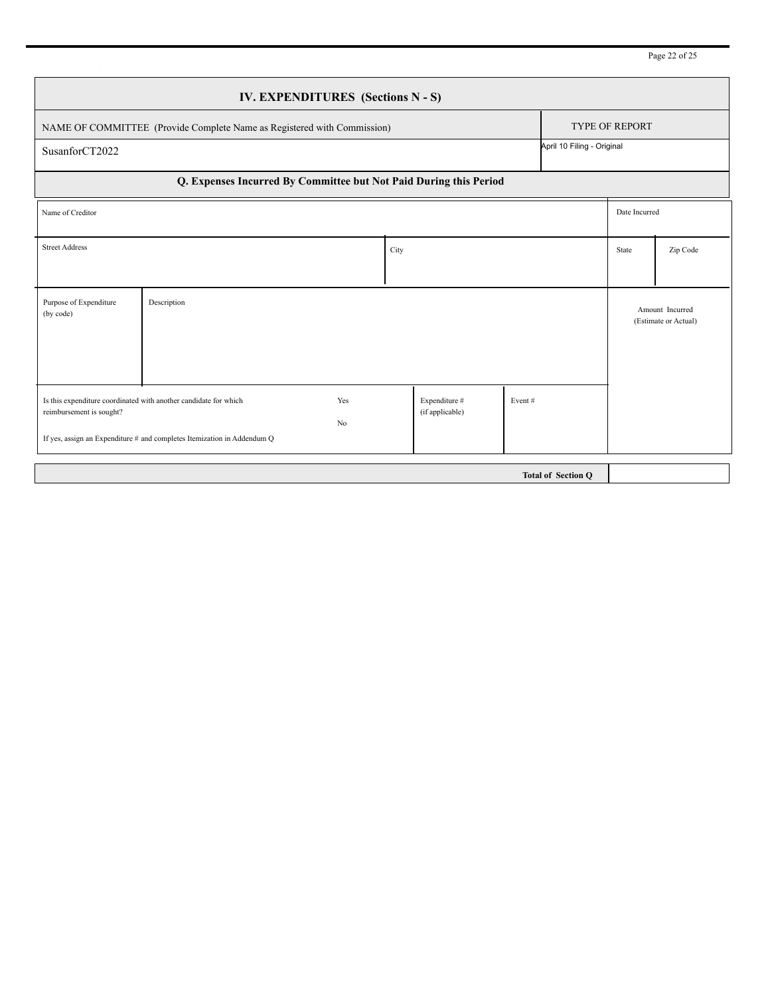| IV. EXPENDITURES (Sections N - S)                                       |                                                                                                                                             |           |                                  |        |                           |               |                                         |
|-------------------------------------------------------------------------|---------------------------------------------------------------------------------------------------------------------------------------------|-----------|----------------------------------|--------|---------------------------|---------------|-----------------------------------------|
| NAME OF COMMITTEE (Provide Complete Name as Registered with Commission) |                                                                                                                                             |           |                                  |        | <b>TYPE OF REPORT</b>     |               |                                         |
| April 10 Filing - Original<br>SusanforCT2022                            |                                                                                                                                             |           |                                  |        |                           |               |                                         |
| Q. Expenses Incurred By Committee but Not Paid During this Period       |                                                                                                                                             |           |                                  |        |                           |               |                                         |
| Name of Creditor                                                        |                                                                                                                                             |           |                                  |        |                           | Date Incurred |                                         |
| <b>Street Address</b>                                                   |                                                                                                                                             |           | City                             |        |                           | State         | Zip Code                                |
| Purpose of Expenditure<br>(by code)                                     | Description                                                                                                                                 |           |                                  |        |                           |               | Amount Incurred<br>(Estimate or Actual) |
| reimbursement is sought?                                                | Is this expenditure coordinated with another candidate for which<br>If yes, assign an Expenditure # and completes Itemization in Addendum Q | Yes<br>No | Expenditure #<br>(if applicable) | Event# |                           |               |                                         |
|                                                                         |                                                                                                                                             |           |                                  |        | <b>Total of Section Q</b> |               |                                         |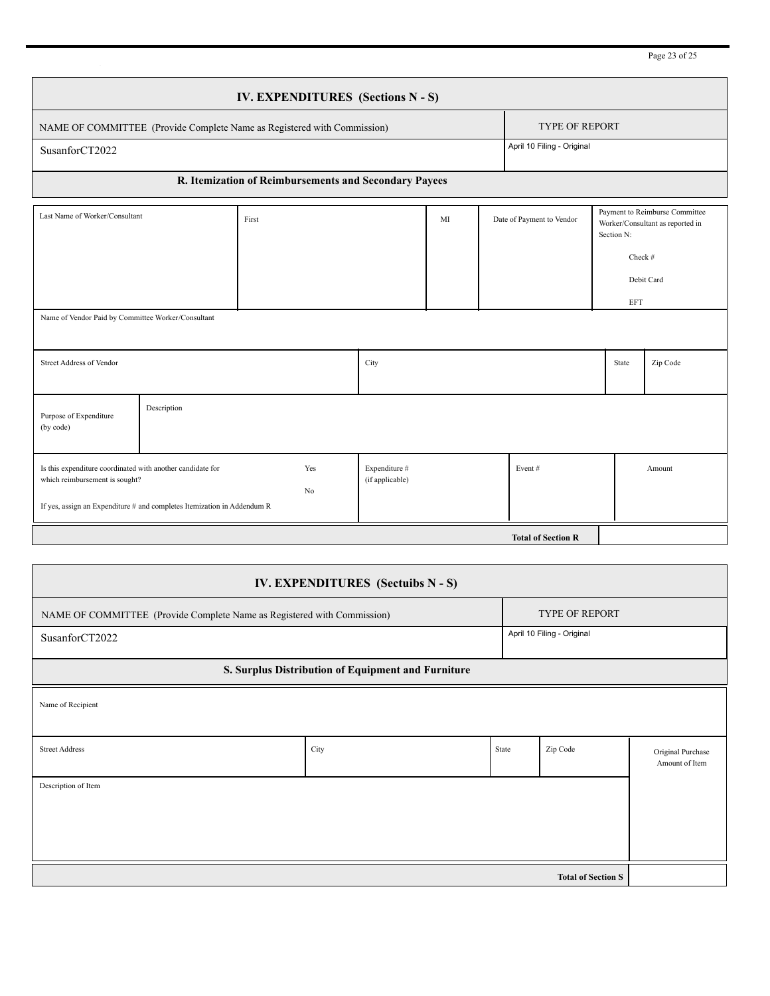Page 23 of 25

|                                                                                                                                                                         |  | IV. EXPENDITURES (Sections N - S)                     |                                  |    |  |                            |                                                                                                           |            |  |  |
|-------------------------------------------------------------------------------------------------------------------------------------------------------------------------|--|-------------------------------------------------------|----------------------------------|----|--|----------------------------|-----------------------------------------------------------------------------------------------------------|------------|--|--|
| NAME OF COMMITTEE (Provide Complete Name as Registered with Commission)                                                                                                 |  |                                                       |                                  |    |  | <b>TYPE OF REPORT</b>      |                                                                                                           |            |  |  |
| SusanforCT2022                                                                                                                                                          |  |                                                       |                                  |    |  | April 10 Filing - Original |                                                                                                           |            |  |  |
|                                                                                                                                                                         |  | R. Itemization of Reimbursements and Secondary Payees |                                  |    |  |                            |                                                                                                           |            |  |  |
| Last Name of Worker/Consultant                                                                                                                                          |  | First                                                 |                                  | MI |  | Date of Payment to Vendor  | Payment to Reimburse Committee<br>Worker/Consultant as reported in<br>Section N:<br>Check #<br>Debit Card |            |  |  |
|                                                                                                                                                                         |  |                                                       |                                  |    |  |                            |                                                                                                           | <b>EFT</b> |  |  |
| Name of Vendor Paid by Committee Worker/Consultant                                                                                                                      |  |                                                       |                                  |    |  |                            |                                                                                                           |            |  |  |
| <b>Street Address of Vendor</b>                                                                                                                                         |  |                                                       | City                             |    |  |                            | State                                                                                                     | Zip Code   |  |  |
| Description<br>Purpose of Expenditure<br>(by code)                                                                                                                      |  |                                                       |                                  |    |  |                            |                                                                                                           |            |  |  |
| Is this expenditure coordinated with another candidate for<br>which reimbursement is sought?<br>If yes, assign an Expenditure # and completes Itemization in Addendum R |  | Yes<br>No                                             | Expenditure #<br>(if applicable) |    |  | Event#                     |                                                                                                           | Amount     |  |  |
|                                                                                                                                                                         |  |                                                       |                                  |    |  | <b>Total of Section R</b>  |                                                                                                           |            |  |  |

| IV. EXPENDITURES (Sectuibs N - S)                                       |      |       |                            |                                     |  |
|-------------------------------------------------------------------------|------|-------|----------------------------|-------------------------------------|--|
| NAME OF COMMITTEE (Provide Complete Name as Registered with Commission) |      |       | <b>TYPE OF REPORT</b>      |                                     |  |
| SusanforCT2022                                                          |      |       | April 10 Filing - Original |                                     |  |
| S. Surplus Distribution of Equipment and Furniture                      |      |       |                            |                                     |  |
| Name of Recipient                                                       |      |       |                            |                                     |  |
| <b>Street Address</b>                                                   | City | State | Zip Code                   | Original Purchase<br>Amount of Item |  |
| Description of Item                                                     |      |       |                            |                                     |  |
|                                                                         |      |       |                            |                                     |  |
|                                                                         |      |       |                            |                                     |  |
|                                                                         |      |       | <b>Total of Section S</b>  |                                     |  |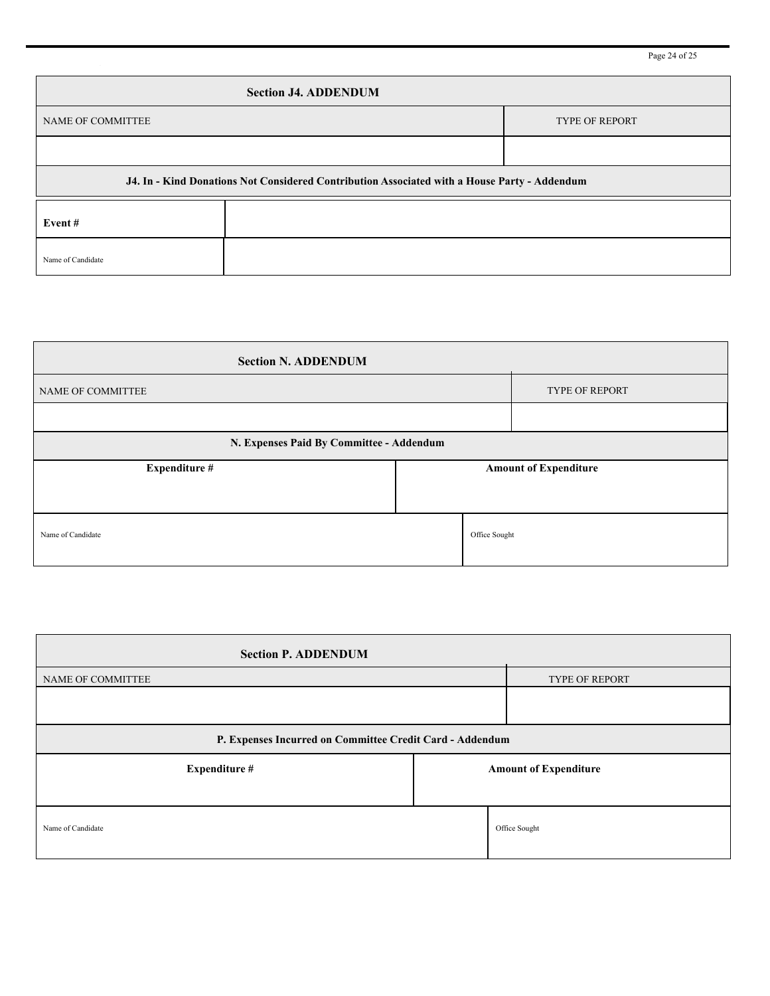| <b>Section J4. ADDENDUM</b> |                                                                                              |  |  |  |  |  |  |
|-----------------------------|----------------------------------------------------------------------------------------------|--|--|--|--|--|--|
| <b>NAME OF COMMITTEE</b>    | <b>TYPE OF REPORT</b>                                                                        |  |  |  |  |  |  |
|                             |                                                                                              |  |  |  |  |  |  |
|                             | J4. In - Kind Donations Not Considered Contribution Associated with a House Party - Addendum |  |  |  |  |  |  |
| Event#                      |                                                                                              |  |  |  |  |  |  |
| Name of Candidate           |                                                                                              |  |  |  |  |  |  |

| <b>Section N. ADDENDUM</b>               |  |               |                              |
|------------------------------------------|--|---------------|------------------------------|
| NAME OF COMMITTEE                        |  |               | <b>TYPE OF REPORT</b>        |
|                                          |  |               |                              |
| N. Expenses Paid By Committee - Addendum |  |               |                              |
| <b>Expenditure #</b>                     |  |               | <b>Amount of Expenditure</b> |
|                                          |  |               |                              |
| Name of Candidate                        |  | Office Sought |                              |

| <b>Section P. ADDENDUM</b>                               |                       |                              |
|----------------------------------------------------------|-----------------------|------------------------------|
| NAME OF COMMITTEE                                        | <b>TYPE OF REPORT</b> |                              |
|                                                          |                       |                              |
| P. Expenses Incurred on Committee Credit Card - Addendum |                       |                              |
| Expenditure #                                            |                       | <b>Amount of Expenditure</b> |
| Name of Candidate                                        |                       | Office Sought                |